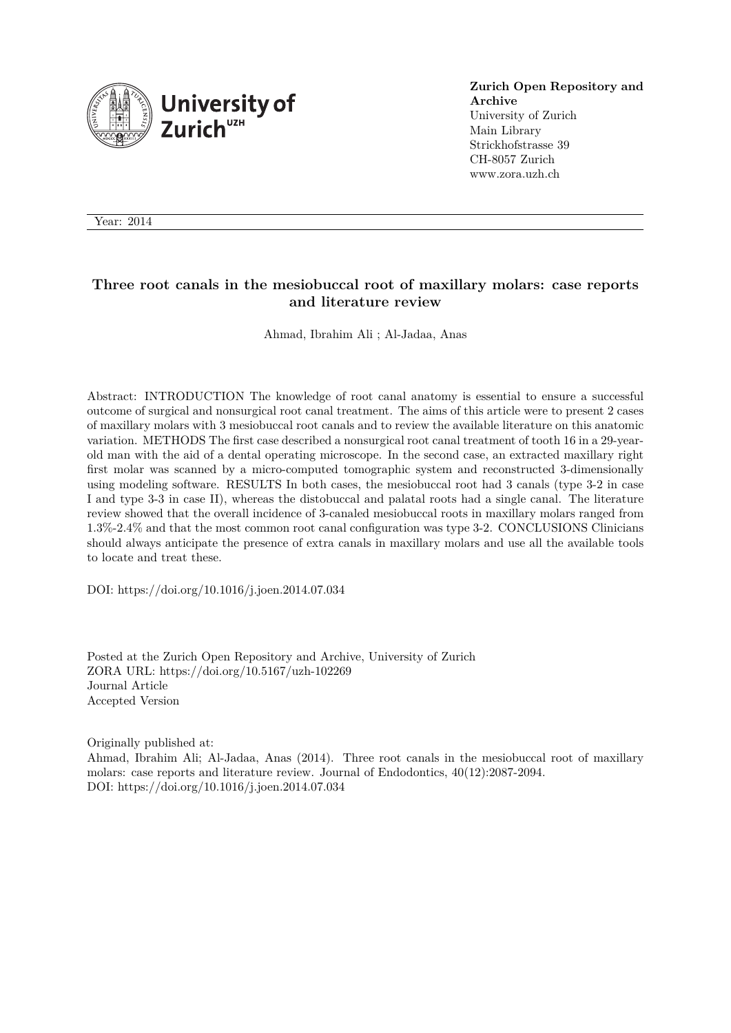

**Zurich Open Repository and Archive** University of Zurich Main Library Strickhofstrasse 39 CH-8057 Zurich www.zora.uzh.ch

Year: 2014

#### **Three root canals in the mesiobuccal root of maxillary molars: case reports and literature review**

Ahmad, Ibrahim Ali ; Al-Jadaa, Anas

Abstract: INTRODUCTION The knowledge of root canal anatomy is essential to ensure a successful outcome of surgical and nonsurgical root canal treatment. The aims of this article were to present 2 cases of maxillary molars with 3 mesiobuccal root canals and to review the available literature on this anatomic variation. METHODS The first case described a nonsurgical root canal treatment of tooth 16 in a 29-yearold man with the aid of a dental operating microscope. In the second case, an extracted maxillary right first molar was scanned by a micro-computed tomographic system and reconstructed 3-dimensionally using modeling software. RESULTS In both cases, the mesiobuccal root had 3 canals (type 3-2 in case I and type 3-3 in case II), whereas the distobuccal and palatal roots had a single canal. The literature review showed that the overall incidence of 3-canaled mesiobuccal roots in maxillary molars ranged from 1.3%-2.4% and that the most common root canal configuration was type 3-2. CONCLUSIONS Clinicians should always anticipate the presence of extra canals in maxillary molars and use all the available tools to locate and treat these.

DOI: https://doi.org/10.1016/j.joen.2014.07.034

Posted at the Zurich Open Repository and Archive, University of Zurich ZORA URL: https://doi.org/10.5167/uzh-102269 Journal Article Accepted Version

Originally published at: Ahmad, Ibrahim Ali; Al-Jadaa, Anas (2014). Three root canals in the mesiobuccal root of maxillary molars: case reports and literature review. Journal of Endodontics, 40(12):2087-2094. DOI: https://doi.org/10.1016/j.joen.2014.07.034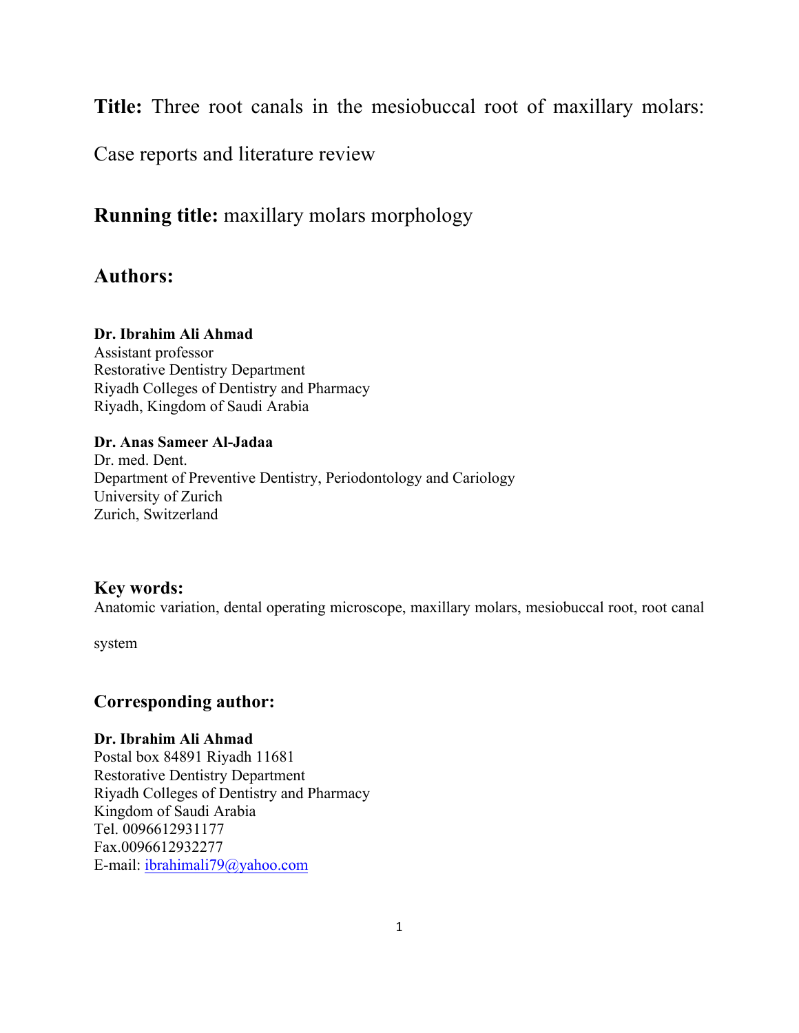**Title:** Three root canals in the mesiobuccal root of maxillary molars:

Case reports and literature review

**Running title:** maxillary molars morphology

# **Authors:**

### **Dr. Ibrahim Ali Ahmad**

Assistant professor Restorative Dentistry Department Riyadh Colleges of Dentistry and Pharmacy Riyadh, Kingdom of Saudi Arabia

#### **Dr. Anas Sameer Al-Jadaa**

Dr. med. Dent. Department of Preventive Dentistry, Periodontology and Cariology University of Zurich Zurich, Switzerland

## **Key words:**

Anatomic variation, dental operating microscope, maxillary molars, mesiobuccal root, root canal

system

## **Corresponding author:**

### **Dr. Ibrahim Ali Ahmad**

Postal box 84891 Riyadh 11681 Restorative Dentistry Department Riyadh Colleges of Dentistry and Pharmacy Kingdom of Saudi Arabia Tel. 0096612931177 Fax.0096612932277 E-mail: ibrahimali79@yahoo.com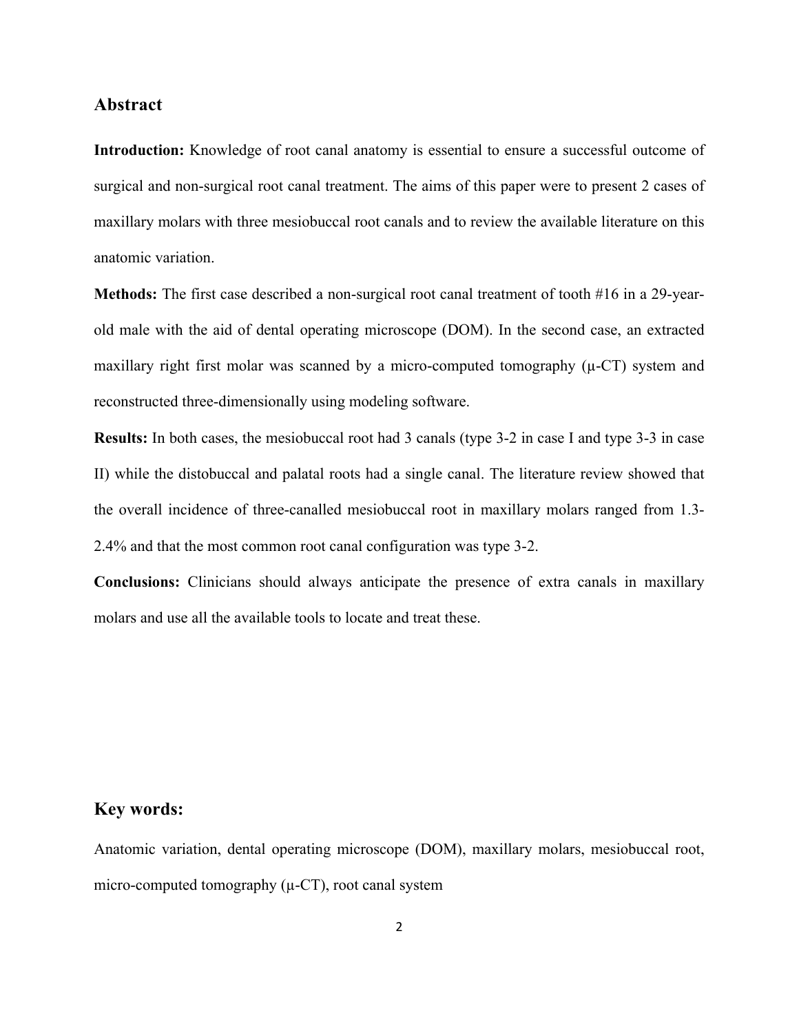#### **Abstract**

**Introduction:** Knowledge of root canal anatomy is essential to ensure a successful outcome of surgical and non-surgical root canal treatment. The aims of this paper were to present 2 cases of maxillary molars with three mesiobuccal root canals and to review the available literature on this anatomic variation.

**Methods:** The first case described a non-surgical root canal treatment of tooth #16 in a 29-yearold male with the aid of dental operating microscope (DOM). In the second case, an extracted maxillary right first molar was scanned by a micro-computed tomography  $(\mu$ -CT) system and reconstructed three-dimensionally using modeling software.

**Results:** In both cases, the mesiobuccal root had 3 canals (type 3-2 in case I and type 3-3 in case II) while the distobuccal and palatal roots had a single canal. The literature review showed that the overall incidence of three-canalled mesiobuccal root in maxillary molars ranged from 1.3- 2.4% and that the most common root canal configuration was type 3-2.

**Conclusions:** Clinicians should always anticipate the presence of extra canals in maxillary molars and use all the available tools to locate and treat these.

# **Key words:**

Anatomic variation, dental operating microscope (DOM), maxillary molars, mesiobuccal root, micro-computed tomography  $(\mu$ -CT), root canal system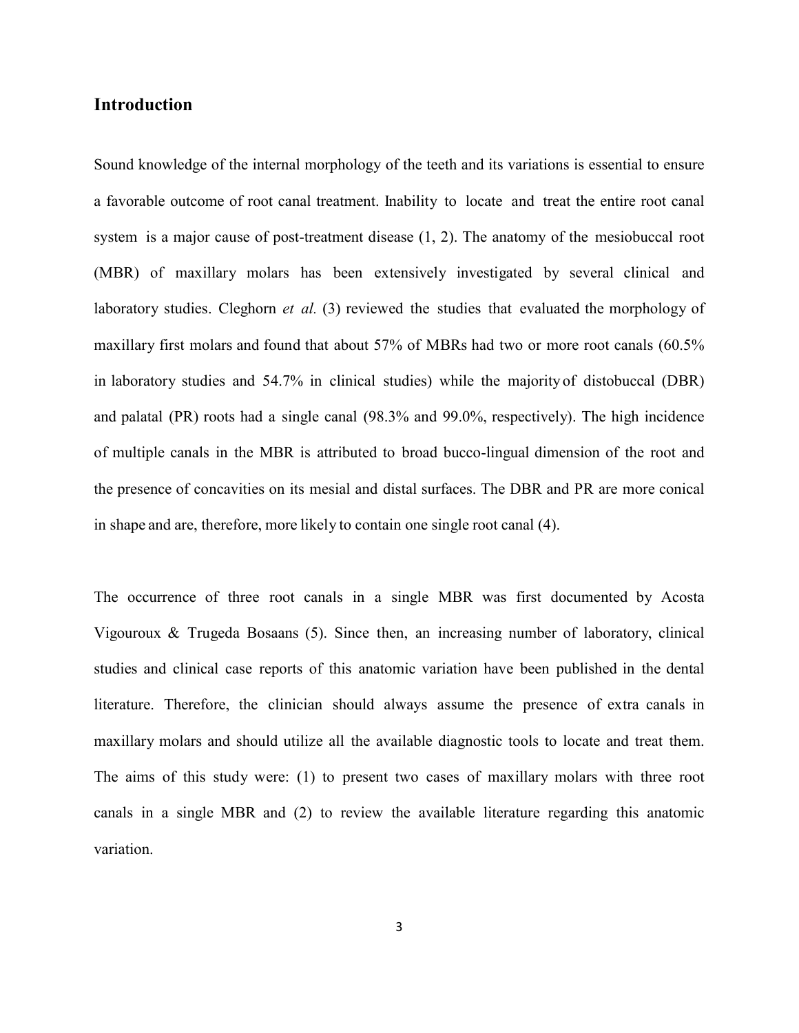### **Introduction**

Sound knowledge of the internal morphology of the teeth and its variations is essential to ensure a favorable outcome of root canal treatment. Inability to locate and treat the entire root canal system is a major cause of post-treatment disease (1, 2). The anatomy of the mesiobuccal root (MBR) of maxillary molars has been extensively investigated by several clinical and laboratory studies. Cleghorn *et al.* (3) reviewed the studies that evaluated the morphology of maxillary first molars and found that about 57% of MBRs had two or more root canals (60.5% in laboratory studies and 54.7% in clinical studies) while the majority of distobuccal (DBR) and palatal (PR) roots had a single canal (98.3% and 99.0%, respectively). The high incidence of multiple canals in the MBR is attributed to broad bucco-lingual dimension of the root and the presence of concavities on its mesial and distal surfaces. The DBR and PR are more conical in shape and are, therefore, more likely to contain one single root canal (4).

The occurrence of three root canals in a single MBR was first documented by Acosta Vigouroux & Trugeda Bosaans (5). Since then, an increasing number of laboratory, clinical studies and clinical case reports of this anatomic variation have been published in the dental literature. Therefore, the clinician should always assume the presence of extra canals in maxillary molars and should utilize all the available diagnostic tools to locate and treat them. The aims of this study were: (1) to present two cases of maxillary molars with three root canals in a single MBR and (2) to review the available literature regarding this anatomic variation.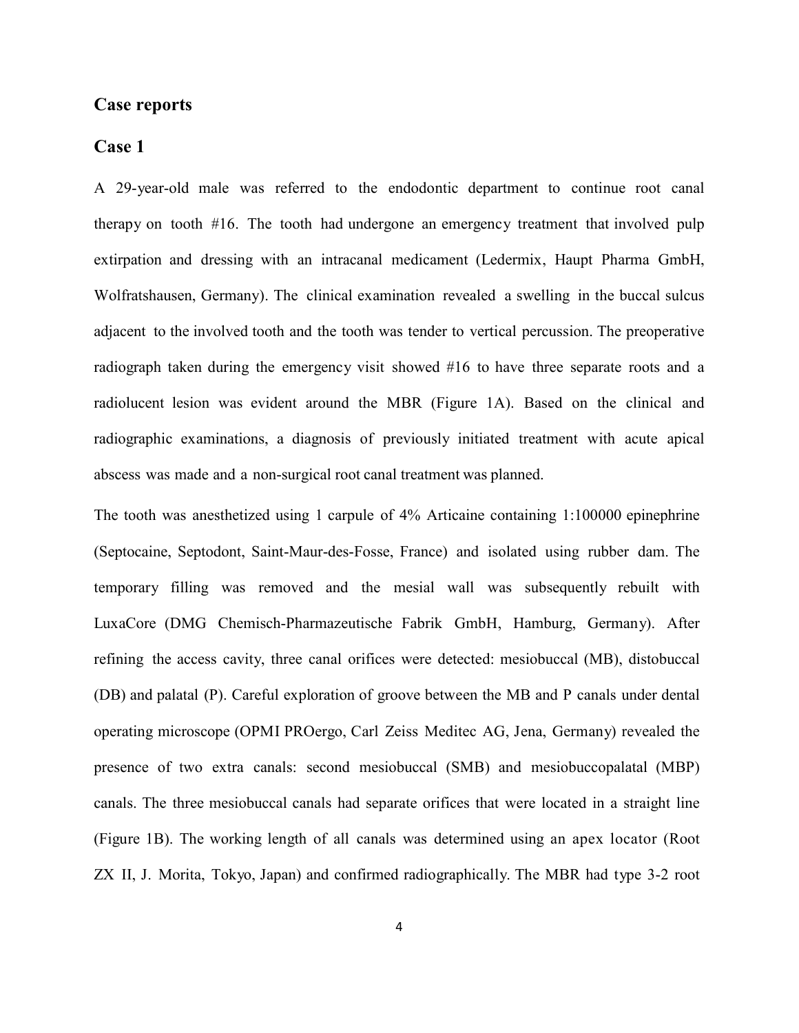#### **Case reports**

#### **Case 1**

A 29-year-old male was referred to the endodontic department to continue root canal therapy on tooth #16. The tooth had undergone an emergency treatment that involved pulp extirpation and dressing with an intracanal medicament (Ledermix, Haupt Pharma GmbH, Wolfratshausen, Germany). The clinical examination revealed a swelling in the buccal sulcus adjacent to the involved tooth and the tooth was tender to vertical percussion. The preoperative radiograph taken during the emergency visit showed #16 to have three separate roots and a radiolucent lesion was evident around the MBR (Figure 1A). Based on the clinical and radiographic examinations, a diagnosis of previously initiated treatment with acute apical abscess was made and a non-surgical root canal treatment was planned.

The tooth was anesthetized using 1 carpule of 4% Articaine containing 1:100000 epinephrine (Septocaine, Septodont, Saint-Maur-des-Fosse, France) and isolated using rubber dam. The temporary filling was removed and the mesial wall was subsequently rebuilt with LuxaCore (DMG Chemisch-Pharmazeutische Fabrik GmbH, Hamburg, Germany). After refining the access cavity, three canal orifices were detected: mesiobuccal (MB), distobuccal (DB) and palatal (P). Careful exploration of groove between the MB and P canals under dental operating microscope (OPMI PROergo, Carl Zeiss Meditec AG, Jena, Germany) revealed the presence of two extra canals: second mesiobuccal (SMB) and mesiobuccopalatal (MBP) canals. The three mesiobuccal canals had separate orifices that were located in a straight line (Figure 1B). The working length of all canals was determined using an apex locator (Root ZX II, J. Morita, Tokyo, Japan) and confirmed radiographically. The MBR had type 3-2 root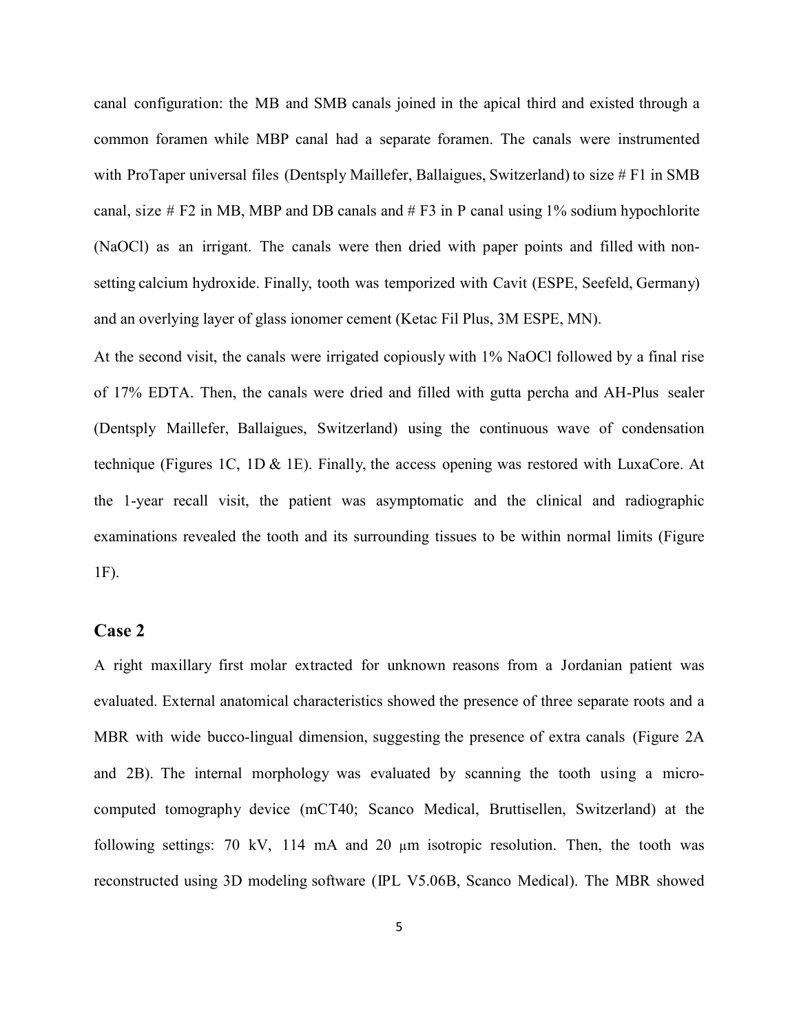canal configuration: the MB and SMB canals joined in the apical third and existed through a common foramen while MBP canal had a separate foramen. The canals were instrumented with ProTaper universal files (Dentsply Maillefer, Ballaigues, Switzerland) to size  $# F1$  in SMB canal, size  $# F2$  in MB, MBP and DB canals and  $# F3$  in P canal using 1% sodium hypochlorite (NaOCl) as an irrigant. The canals were then dried with paper points and filled with nonsetting calcium hydroxide. Finally, tooth was temporized with Cavit (ESPE, Seefeld, Germany) and an overlying layer of glass ionomer cement (Ketac Fil Plus, 3M ESPE, MN).

At the second visit, the canals were irrigated copiously with 1% NaOCl followed by a final rise of 17% EDTA. Then, the canals were dried and filled with gutta percha and AH-Plus sealer (Dentsply Maillefer, Ballaigues, Switzerland) using the continuous wave of condensation technique (Figures 1C, 1D & 1E). Finally, the access opening was restored with LuxaCore. At the 1-year recall visit, the patient was asymptomatic and the clinical and radiographic examinations revealed the tooth and its surrounding tissues to be within normal limits (Figure 1F).

#### **Case 2**

A right maxillary first molar extracted for unknown reasons from a Jordanian patient was evaluated. External anatomical characteristics showed the presence of three separate roots and a MBR with wide bucco-lingual dimension, suggesting the presence of extra canals (Figure 2A and 2B). The internal morphology was evaluated by scanning the tooth using a microcomputed tomography device (mCT40; Scanco Medical, Bruttisellen, Switzerland) at the following settings: 70 kV, 114 mA and 20 µm isotropic resolution. Then, the tooth was reconstructed using 3D modeling software (IPL V5.06B, Scanco Medical). The MBR showed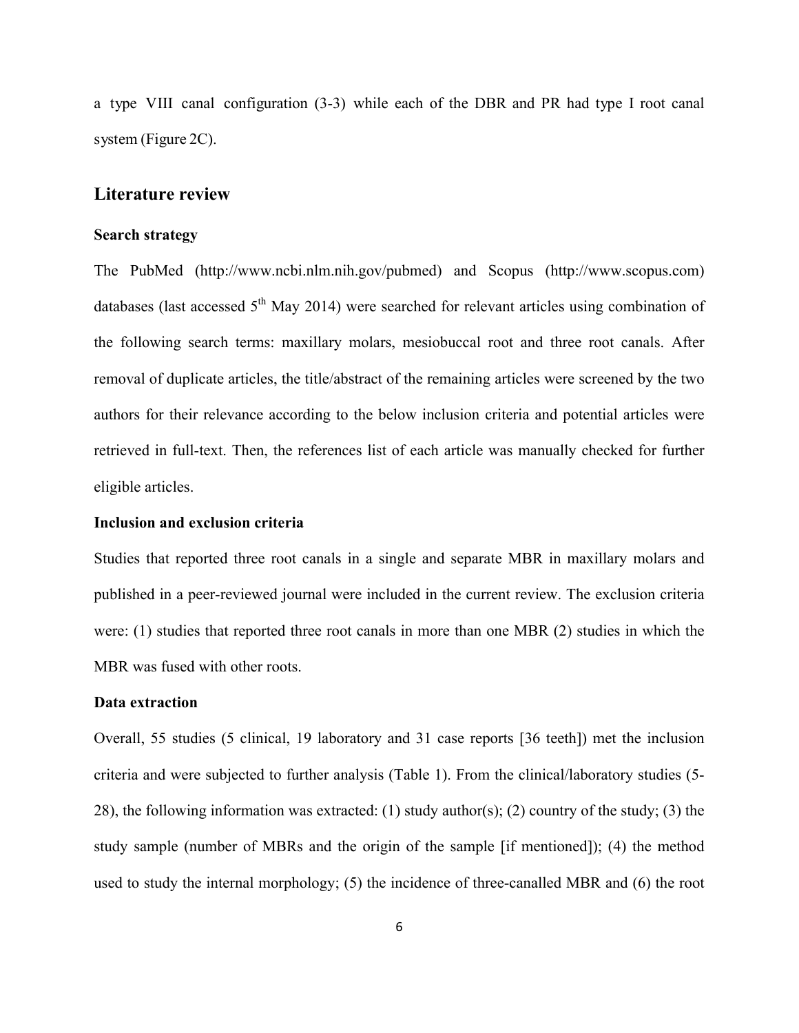a type VIII canal configuration (3-3) while each of the DBR and PR had type I root canal system (Figure 2C).

#### **Literature review**

#### **Search strategy**

The PubMed (http://www.ncbi.nlm.nih.gov/pubmed) and Scopus (http://www.scopus.com) databases (last accessed  $5<sup>th</sup>$  May 2014) were searched for relevant articles using combination of the following search terms: maxillary molars, mesiobuccal root and three root canals. After removal of duplicate articles, the title/abstract of the remaining articles were screened by the two authors for their relevance according to the below inclusion criteria and potential articles were retrieved in full-text. Then, the references list of each article was manually checked for further eligible articles.

#### **Inclusion and exclusion criteria**

Studies that reported three root canals in a single and separate MBR in maxillary molars and published in a peer-reviewed journal were included in the current review. The exclusion criteria were: (1) studies that reported three root canals in more than one MBR (2) studies in which the MBR was fused with other roots.

#### **Data extraction**

Overall, 55 studies (5 clinical, 19 laboratory and 31 case reports [36 teeth]) met the inclusion criteria and were subjected to further analysis (Table 1). From the clinical/laboratory studies (5- 28), the following information was extracted: (1) study author(s); (2) country of the study; (3) the study sample (number of MBRs and the origin of the sample [if mentioned]); (4) the method used to study the internal morphology; (5) the incidence of three-canalled MBR and (6) the root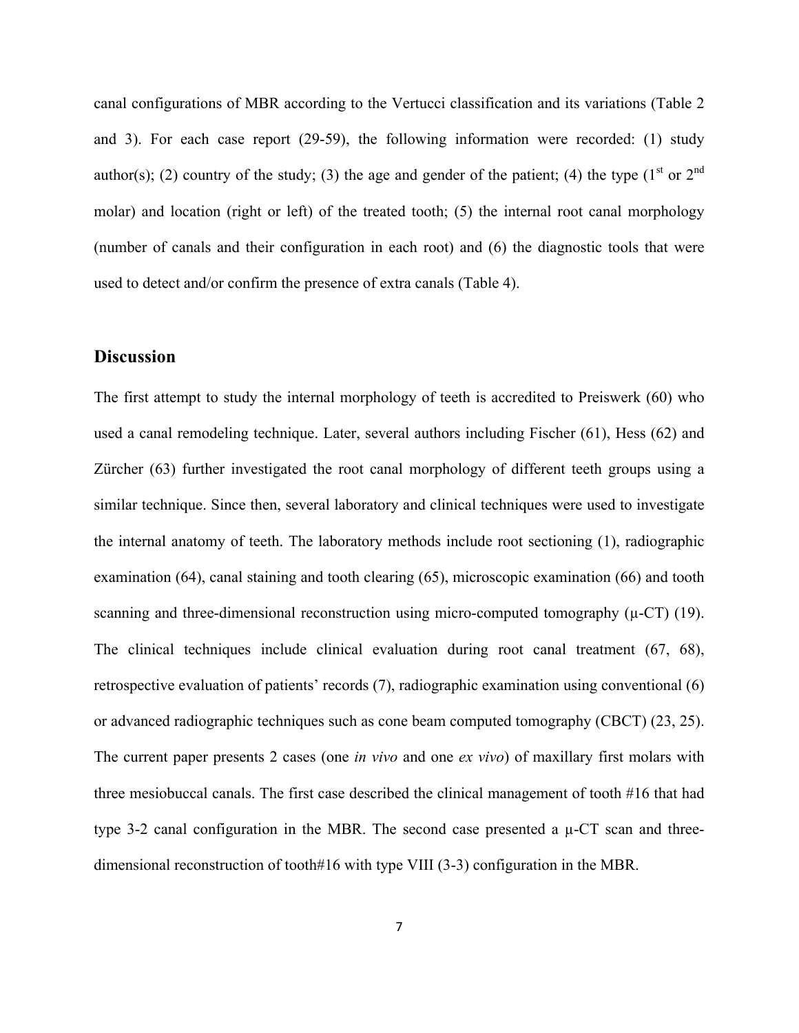canal configurations of MBR according to the Vertucci classification and its variations (Table 2 and 3). For each case report (29-59), the following information were recorded: (1) study author(s); (2) country of the study; (3) the age and gender of the patient; (4) the type  $(1^{st}$  or  $2^{nd}$ molar) and location (right or left) of the treated tooth; (5) the internal root canal morphology (number of canals and their configuration in each root) and (6) the diagnostic tools that were used to detect and/or confirm the presence of extra canals (Table 4).

#### **Discussion**

The first attempt to study the internal morphology of teeth is accredited to Preiswerk (60) who used a canal remodeling technique. Later, several authors including Fischer (61), Hess (62) and Zürcher (63) further investigated the root canal morphology of different teeth groups using a similar technique. Since then, several laboratory and clinical techniques were used to investigate the internal anatomy of teeth. The laboratory methods include root sectioning (1), radiographic examination (64), canal staining and tooth clearing (65), microscopic examination (66) and tooth scanning and three-dimensional reconstruction using micro-computed tomography  $(\mu$ -CT $)$  (19). The clinical techniques include clinical evaluation during root canal treatment (67, 68), retrospective evaluation of patients' records (7), radiographic examination using conventional (6) or advanced radiographic techniques such as cone beam computed tomography (CBCT) (23, 25). The current paper presents 2 cases (one *in vivo* and one *ex vivo*) of maxillary first molars with three mesiobuccal canals. The first case described the clinical management of tooth #16 that had type 3-2 canal configuration in the MBR. The second case presented a  $\mu$ -CT scan and threedimensional reconstruction of tooth#16 with type VIII (3-3) configuration in the MBR.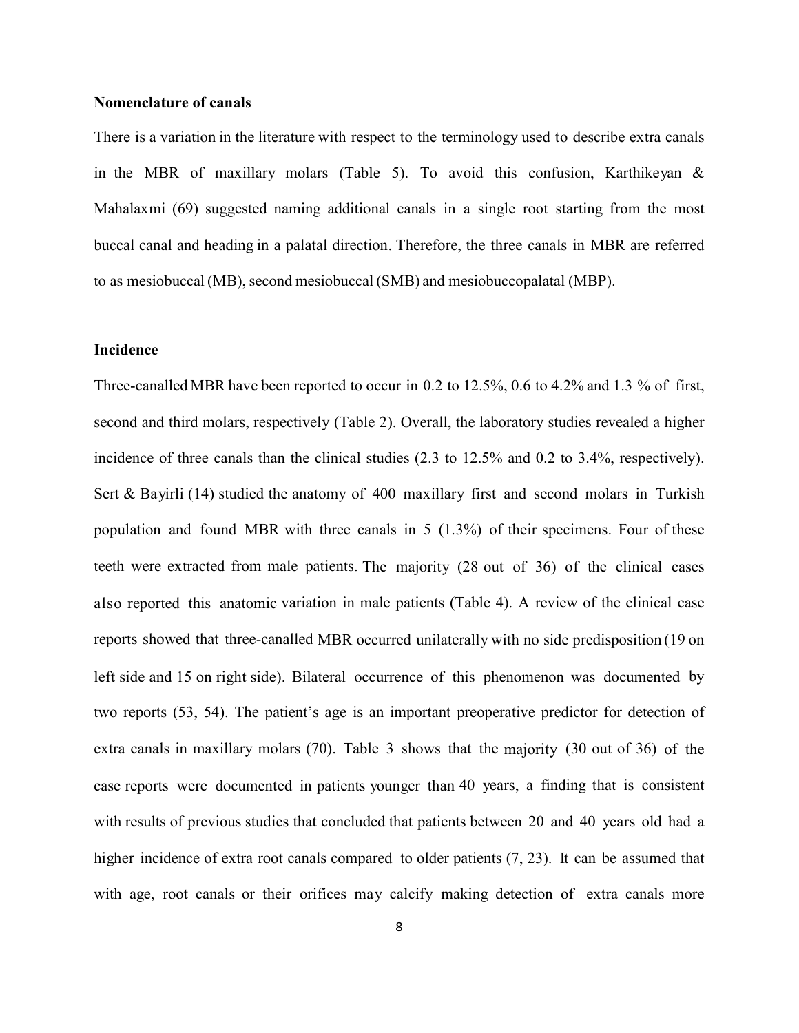#### **Nomenclature of canals**

There is a variation in the literature with respect to the terminology used to describe extra canals in the MBR of maxillary molars (Table 5). To avoid this confusion, Karthikeyan  $\&$ Mahalaxmi (69) suggested naming additional canals in a single root starting from the most buccal canal and heading in a palatal direction. Therefore, the three canals in MBR are referred to as mesiobuccal (MB), second mesiobuccal (SMB) and mesiobuccopalatal (MBP).

#### **Incidence**

Three-canalled MBR have been reported to occur in 0.2 to 12.5%, 0.6 to 4.2% and 1.3 % of first, second and third molars, respectively (Table 2). Overall, the laboratory studies revealed a higher incidence of three canals than the clinical studies (2.3 to 12.5% and 0.2 to 3.4%, respectively). Sert & Bayirli (14) studied the anatomy of 400 maxillary first and second molars in Turkish population and found MBR with three canals in 5 (1.3%) of their specimens. Four of these teeth were extracted from male patients. The majority (28 out of 36) of the clinical cases also reported this anatomic variation in male patients (Table 4). A review of the clinical case reports showed that three-canalled MBR occurred unilaterally with no side predisposition (19 on left side and 15 on right side). Bilateral occurrence of this phenomenon was documented by two reports (53, 54). The patient's age is an important preoperative predictor for detection of extra canals in maxillary molars (70). Table 3 shows that the majority (30 out of 36) of the case reports were documented in patients younger than 40 years, a finding that is consistent with results of previous studies that concluded that patients between 20 and 40 years old had a higher incidence of extra root canals compared to older patients  $(7, 23)$ . It can be assumed that with age, root canals or their orifices may calcify making detection of extra canals more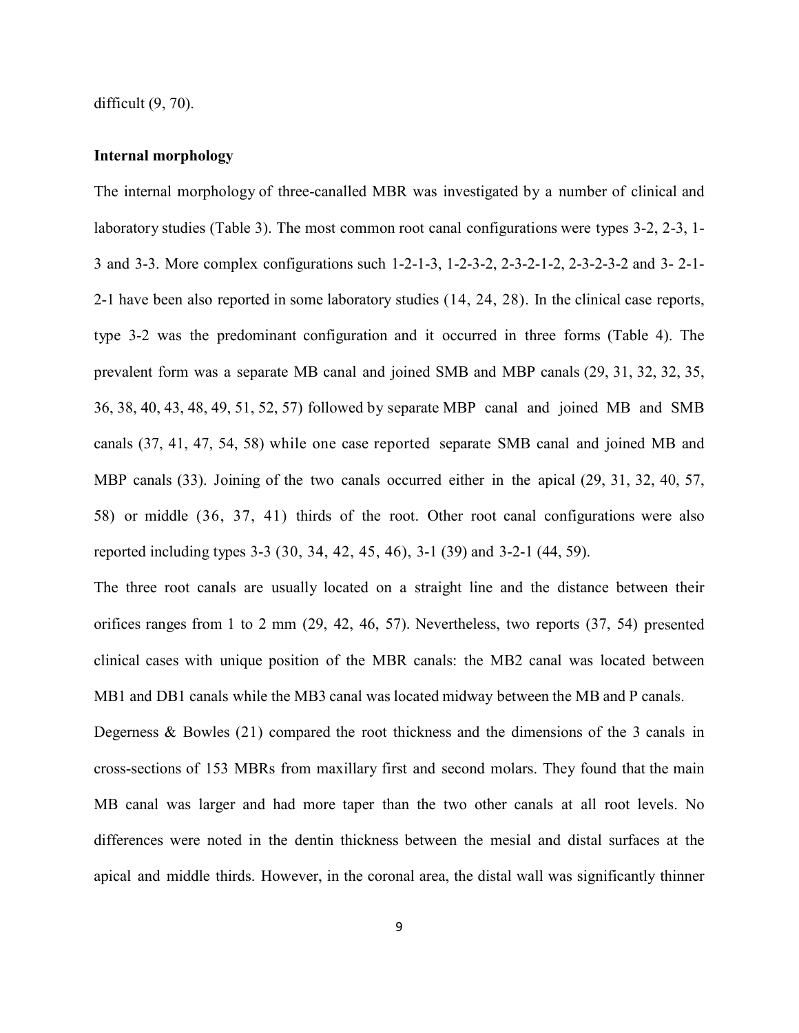difficult  $(9, 70)$ .

#### **Internal morphology**

The internal morphology of three-canalled MBR was investigated by a number of clinical and laboratory studies (Table 3). The most common root canal configurations were types 3-2, 2-3, 1- 3 and 3-3. More complex configurations such 1-2-1-3, 1-2-3-2, 2-3-2-1-2, 2-3-2-3-2 and 3- 2-1- 2-1 have been also reported in some laboratory studies (14, 24, 28). In the clinical case reports, type 3-2 was the predominant configuration and it occurred in three forms (Table 4). The prevalent form was a separate MB canal and joined SMB and MBP canals (29, 31, 32, 32, 35, 36, 38, 40, 43, 48, 49, 51, 52, 57) followed by separate MBP canal and joined MB and SMB canals (37, 41, 47, 54, 58) while one case reported separate SMB canal and joined MB and MBP canals (33). Joining of the two canals occurred either in the apical (29, 31, 32, 40, 57, 58) or middle (36, 37, 41) thirds of the root. Other root canal configurations were also reported including types 3-3 (30, 34, 42, 45, 46), 3-1 (39) and 3-2-1 (44, 59).

The three root canals are usually located on a straight line and the distance between their orifices ranges from 1 to 2 mm (29, 42, 46, 57). Nevertheless, two reports (37, 54) presented clinical cases with unique position of the MBR canals: the MB2 canal was located between MB1 and DB1 canals while the MB3 canal was located midway between the MB and P canals.

Degerness & Bowles (21) compared the root thickness and the dimensions of the 3 canals in cross-sections of 153 MBRs from maxillary first and second molars. They found that the main MB canal was larger and had more taper than the two other canals at all root levels. No differences were noted in the dentin thickness between the mesial and distal surfaces at the apical and middle thirds. However, in the coronal area, the distal wall was significantly thinner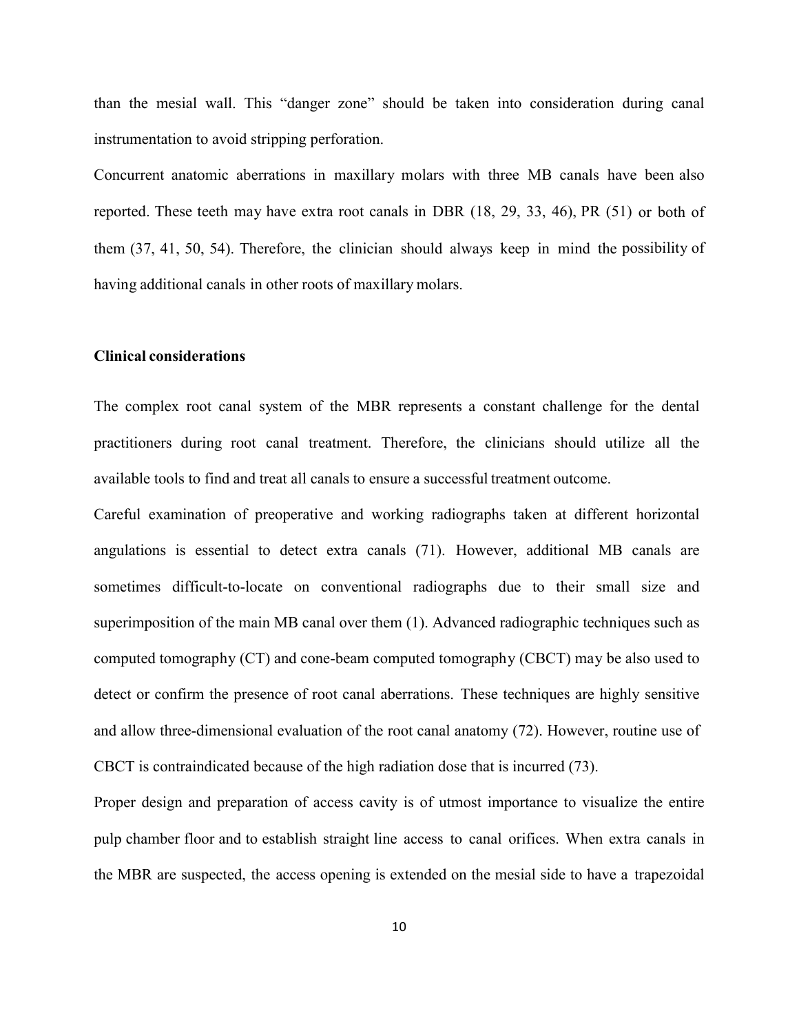than the mesial wall. This "danger zone" should be taken into consideration during canal instrumentation to avoid stripping perforation.

Concurrent anatomic aberrations in maxillary molars with three MB canals have been also reported. These teeth may have extra root canals in DBR (18, 29, 33, 46), PR (51) or both of them (37, 41, 50, 54). Therefore, the clinician should always keep in mind the possibility of having additional canals in other roots of maxillary molars.

#### **Clinical considerations**

The complex root canal system of the MBR represents a constant challenge for the dental practitioners during root canal treatment. Therefore, the clinicians should utilize all the available tools to find and treat all canals to ensure a successful treatment outcome.

Careful examination of preoperative and working radiographs taken at different horizontal angulations is essential to detect extra canals (71). However, additional MB canals are sometimes difficult-to-locate on conventional radiographs due to their small size and superimposition of the main MB canal over them (1). Advanced radiographic techniques such as computed tomography (CT) and cone-beam computed tomography (CBCT) may be also used to detect or confirm the presence of root canal aberrations. These techniques are highly sensitive and allow three-dimensional evaluation of the root canal anatomy (72). However, routine use of CBCT is contraindicated because of the high radiation dose that is incurred (73).

Proper design and preparation of access cavity is of utmost importance to visualize the entire pulp chamber floor and to establish straight line access to canal orifices. When extra canals in the MBR are suspected, the access opening is extended on the mesial side to have a trapezoidal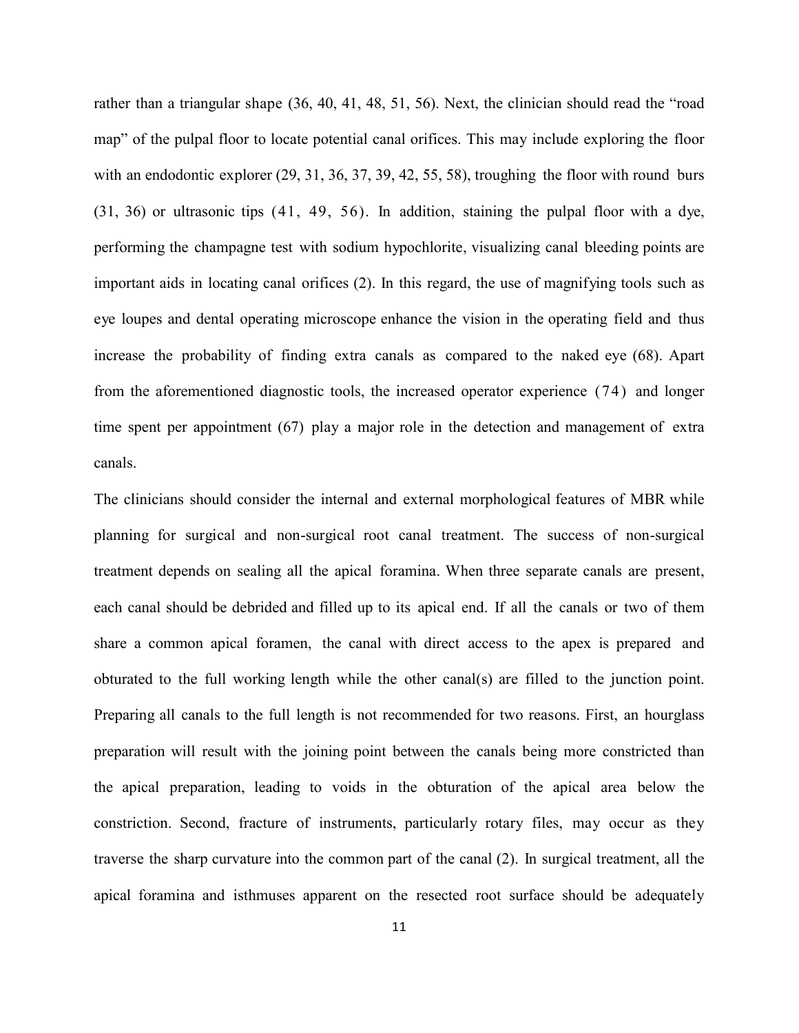rather than a triangular shape (36, 40, 41, 48, 51, 56). Next, the clinician should read the "road map" of the pulpal floor to locate potential canal orifices. This may include exploring the floor with an endodontic explorer (29, 31, 36, 37, 39, 42, 55, 58), troughing the floor with round burs (31, 36) or ultrasonic tips (41, 49, 56). In addition, staining the pulpal floor with a dye, performing the champagne test with sodium hypochlorite, visualizing canal bleeding points are important aids in locating canal orifices (2). In this regard, the use of magnifying tools such as eye loupes and dental operating microscope enhance the vision in the operating field and thus increase the probability of finding extra canals as compared to the naked eye (68). Apart from the aforementioned diagnostic tools, the increased operator experience (74) and longer time spent per appointment (67) play a major role in the detection and management of extra canals.

The clinicians should consider the internal and external morphological features of MBR while planning for surgical and non-surgical root canal treatment. The success of non-surgical treatment depends on sealing all the apical foramina. When three separate canals are present, each canal should be debrided and filled up to its apical end. If all the canals or two of them share a common apical foramen, the canal with direct access to the apex is prepared and obturated to the full working length while the other canal(s) are filled to the junction point. Preparing all canals to the full length is not recommended for two reasons. First, an hourglass preparation will result with the joining point between the canals being more constricted than the apical preparation, leading to voids in the obturation of the apical area below the constriction. Second, fracture of instruments, particularly rotary files, may occur as they traverse the sharp curvature into the common part of the canal (2). In surgical treatment, all the apical foramina and isthmuses apparent on the resected root surface should be adequately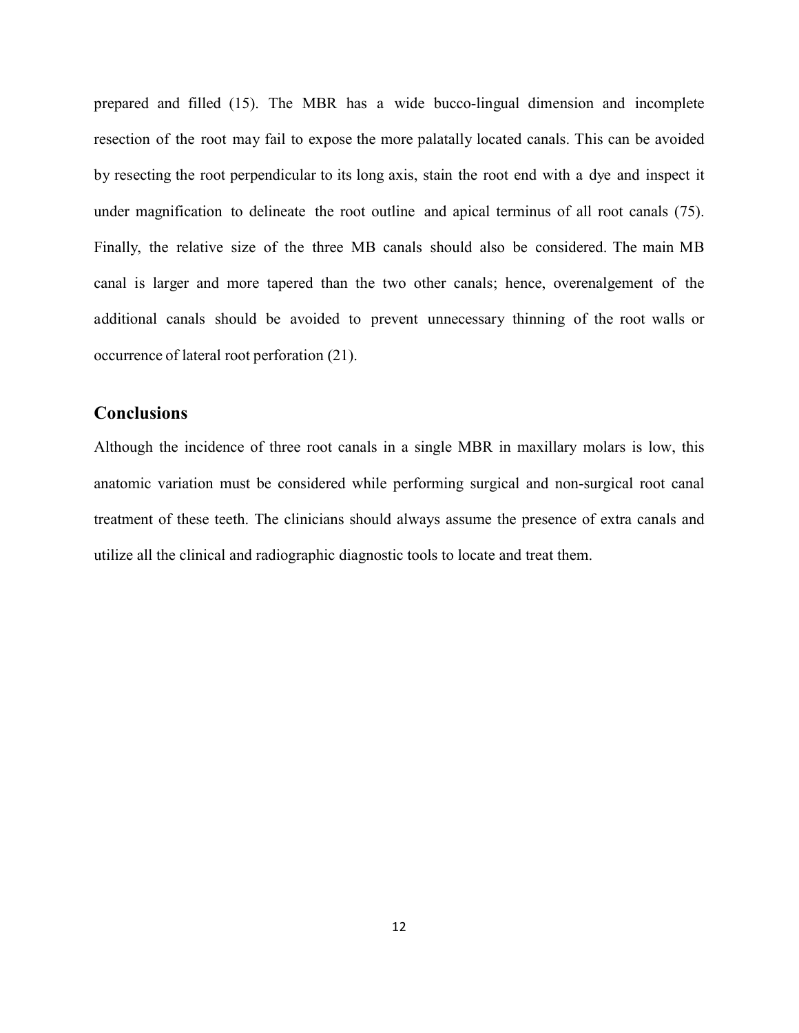prepared and filled (15). The MBR has a wide bucco-lingual dimension and incomplete resection of the root may fail to expose the more palatally located canals. This can be avoided by resecting the root perpendicular to its long axis, stain the root end with a dye and inspect it under magnification to delineate the root outline and apical terminus of all root canals (75). Finally, the relative size of the three MB canals should also be considered. The main MB canal is larger and more tapered than the two other canals; hence, overenalgement of the additional canals should be avoided to prevent unnecessary thinning of the root walls or occurrence of lateral root perforation (21).

### **Conclusions**

Although the incidence of three root canals in a single MBR in maxillary molars is low, this anatomic variation must be considered while performing surgical and non-surgical root canal treatment of these teeth. The clinicians should always assume the presence of extra canals and utilize all the clinical and radiographic diagnostic tools to locate and treat them.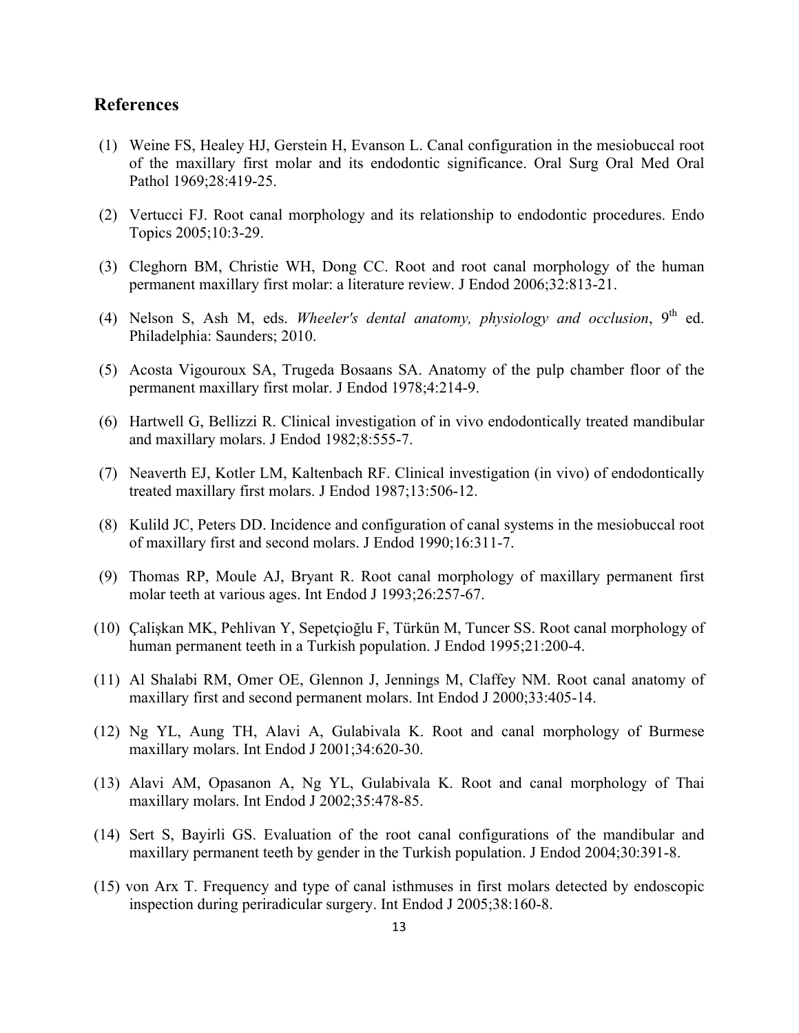#### **References**

- (1) Weine FS, Healey HJ, Gerstein H, Evanson L. Canal configuration in the mesiobuccal root of the maxillary first molar and its endodontic significance. Oral Surg Oral Med Oral Pathol 1969;28:419-25.
- (2) Vertucci FJ. Root canal morphology and its relationship to endodontic procedures. Endo Topics 2005;10:3-29.
- (3) Cleghorn BM, Christie WH, Dong CC. Root and root canal morphology of the human permanent maxillary first molar: a literature review. J Endod 2006;32:813-21.
- (4) Nelson S, Ash M, eds. *Wheeler's dental anatomy, physiology and occlusion*, 9<sup>th</sup> ed. Philadelphia: Saunders; 2010.
- (5) Acosta Vigouroux SA, Trugeda Bosaans SA. Anatomy of the pulp chamber floor of the permanent maxillary first molar. J Endod 1978;4:214-9.
- (6) Hartwell G, Bellizzi R. Clinical investigation of in vivo endodontically treated mandibular and maxillary molars. J Endod 1982;8:555-7.
- (7) Neaverth EJ, Kotler LM, Kaltenbach RF. Clinical investigation (in vivo) of endodontically treated maxillary first molars. J Endod 1987;13:506-12.
- (8) Kulild JC, Peters DD. Incidence and configuration of canal systems in the mesiobuccal root of maxillary first and second molars. J Endod 1990;16:311-7.
- (9) Thomas RP, Moule AJ, Bryant R. Root canal morphology of maxillary permanent first molar teeth at various ages. Int Endod J 1993;26:257-67.
- (10) Çalişkan MK, Pehlivan Y, Sepetçioğlu F, Türkün M, Tuncer SS. Root canal morphology of human permanent teeth in a Turkish population. J Endod 1995;21:200-4.
- (11) Al Shalabi RM, Omer OE, Glennon J, Jennings M, Claffey NM. Root canal anatomy of maxillary first and second permanent molars. Int Endod J 2000;33:405-14.
- (12) Ng YL, Aung TH, Alavi A, Gulabivala K. Root and canal morphology of Burmese maxillary molars. Int Endod J 2001;34:620-30.
- (13) Alavi AM, Opasanon A, Ng YL, Gulabivala K. Root and canal morphology of Thai maxillary molars. Int Endod J 2002;35:478-85.
- (14) Sert S, Bayirli GS. Evaluation of the root canal configurations of the mandibular and maxillary permanent teeth by gender in the Turkish population. J Endod 2004;30:391-8.
- (15) von Arx T. Frequency and type of canal isthmuses in first molars detected by endoscopic inspection during periradicular surgery. Int Endod J 2005;38:160-8.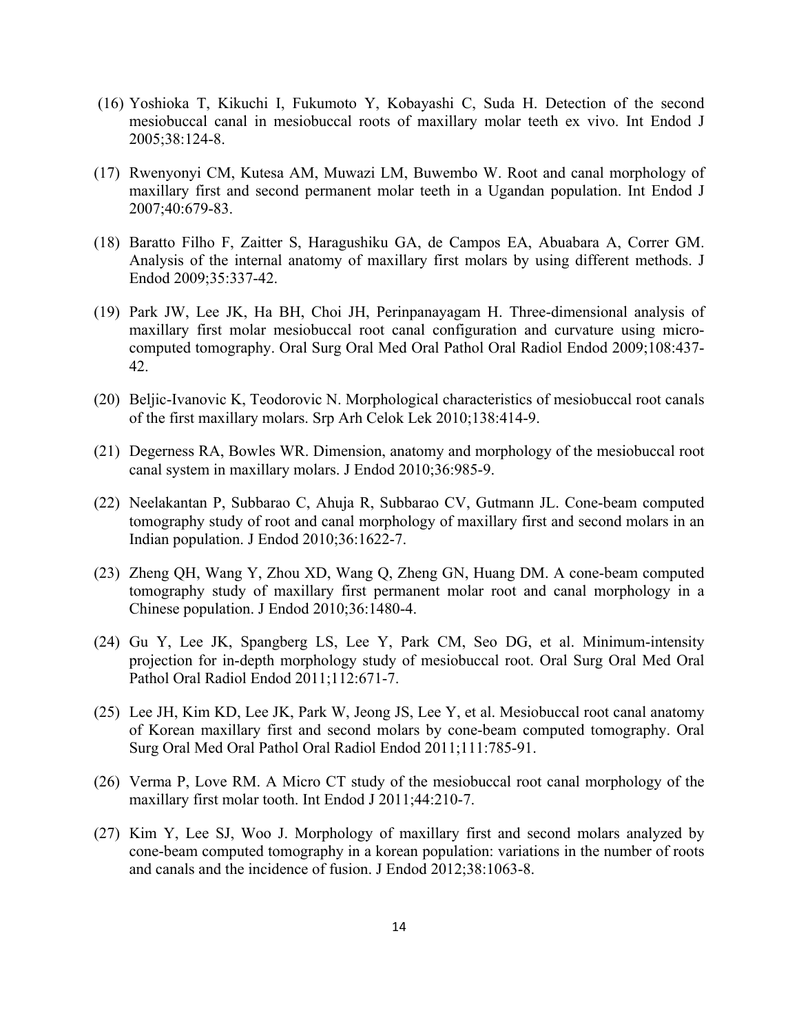- (16) Yoshioka T, Kikuchi I, Fukumoto Y, Kobayashi C, Suda H. Detection of the second mesiobuccal canal in mesiobuccal roots of maxillary molar teeth ex vivo. Int Endod J 2005;38:124-8.
- (17) Rwenyonyi CM, Kutesa AM, Muwazi LM, Buwembo W. Root and canal morphology of maxillary first and second permanent molar teeth in a Ugandan population. Int Endod J 2007;40:679-83.
- (18) Baratto Filho F, Zaitter S, Haragushiku GA, de Campos EA, Abuabara A, Correr GM. Analysis of the internal anatomy of maxillary first molars by using different methods. J Endod 2009;35:337-42.
- (19) Park JW, Lee JK, Ha BH, Choi JH, Perinpanayagam H. Three-dimensional analysis of maxillary first molar mesiobuccal root canal configuration and curvature using microcomputed tomography. Oral Surg Oral Med Oral Pathol Oral Radiol Endod 2009;108:437- 42.
- (20) Beljic-Ivanovic K, Teodorovic N. Morphological characteristics of mesiobuccal root canals of the first maxillary molars. Srp Arh Celok Lek 2010;138:414-9.
- (21) Degerness RA, Bowles WR. Dimension, anatomy and morphology of the mesiobuccal root canal system in maxillary molars. J Endod 2010;36:985-9.
- (22) Neelakantan P, Subbarao C, Ahuja R, Subbarao CV, Gutmann JL. Cone-beam computed tomography study of root and canal morphology of maxillary first and second molars in an Indian population. J Endod 2010;36:1622-7.
- (23) Zheng QH, Wang Y, Zhou XD, Wang Q, Zheng GN, Huang DM. A cone-beam computed tomography study of maxillary first permanent molar root and canal morphology in a Chinese population. J Endod 2010;36:1480-4.
- (24) Gu Y, Lee JK, Spangberg LS, Lee Y, Park CM, Seo DG, et al. Minimum-intensity projection for in-depth morphology study of mesiobuccal root. Oral Surg Oral Med Oral Pathol Oral Radiol Endod 2011;112:671-7.
- (25) Lee JH, Kim KD, Lee JK, Park W, Jeong JS, Lee Y, et al. Mesiobuccal root canal anatomy of Korean maxillary first and second molars by cone-beam computed tomography. Oral Surg Oral Med Oral Pathol Oral Radiol Endod 2011;111:785-91.
- (26) Verma P, Love RM. A Micro CT study of the mesiobuccal root canal morphology of the maxillary first molar tooth. Int Endod J 2011;44:210-7.
- (27) Kim Y, Lee SJ, Woo J. Morphology of maxillary first and second molars analyzed by cone-beam computed tomography in a korean population: variations in the number of roots and canals and the incidence of fusion. J Endod 2012;38:1063-8.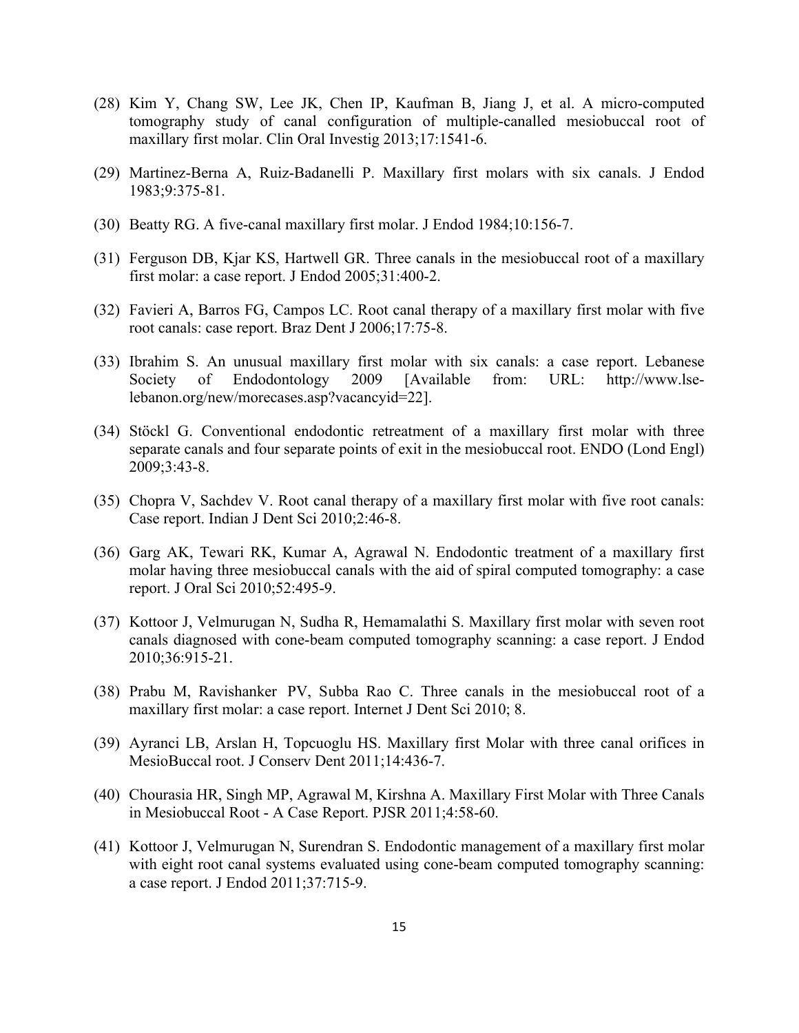- (28) Kim Y, Chang SW, Lee JK, Chen IP, Kaufman B, Jiang J, et al. A micro-computed tomography study of canal configuration of multiple-canalled mesiobuccal root of maxillary first molar. Clin Oral Investig 2013;17:1541-6.
- (29) Martinez-Berna A, Ruiz-Badanelli P. Maxillary first molars with six canals. J Endod 1983;9:375-81.
- (30) Beatty RG. A five-canal maxillary first molar. J Endod 1984;10:156-7.
- (31) Ferguson DB, Kjar KS, Hartwell GR. Three canals in the mesiobuccal root of a maxillary first molar: a case report. J Endod 2005;31:400-2.
- (32) Favieri A, Barros FG, Campos LC. Root canal therapy of a maxillary first molar with five root canals: case report. Braz Dent J 2006;17:75-8.
- (33) Ibrahim S. An unusual maxillary first molar with six canals: a case report. Lebanese Society of Endodontology 2009 [Available from: URL: http://www.lselebanon.org/new/morecases.asp?vacancyid=22].
- (34) Stöckl G. Conventional endodontic retreatment of a maxillary first molar with three separate canals and four separate points of exit in the mesiobuccal root. ENDO (Lond Engl) 2009;3:43-8.
- (35) Chopra V, Sachdev V. Root canal therapy of a maxillary first molar with five root canals: Case report. Indian J Dent Sci 2010;2:46-8.
- (36) Garg AK, Tewari RK, Kumar A, Agrawal N. Endodontic treatment of a maxillary first molar having three mesiobuccal canals with the aid of spiral computed tomography: a case report. J Oral Sci 2010;52:495-9.
- (37) Kottoor J, Velmurugan N, Sudha R, Hemamalathi S. Maxillary first molar with seven root canals diagnosed with cone-beam computed tomography scanning: a case report. J Endod 2010;36:915-21.
- (38) Prabu M, Ravishanker PV, Subba Rao C. Three canals in the mesiobuccal root of a maxillary first molar: a case report. Internet J Dent Sci 2010; 8.
- (39) Ayranci LB, Arslan H, Topcuoglu HS. Maxillary first Molar with three canal orifices in MesioBuccal root. J Conserv Dent 2011;14:436-7.
- (40) Chourasia HR, Singh MP, Agrawal M, Kirshna A. Maxillary First Molar with Three Canals in Mesiobuccal Root - A Case Report. PJSR 2011;4:58-60.
- (41) Kottoor J, Velmurugan N, Surendran S. Endodontic management of a maxillary first molar with eight root canal systems evaluated using cone-beam computed tomography scanning: a case report. J Endod 2011;37:715-9.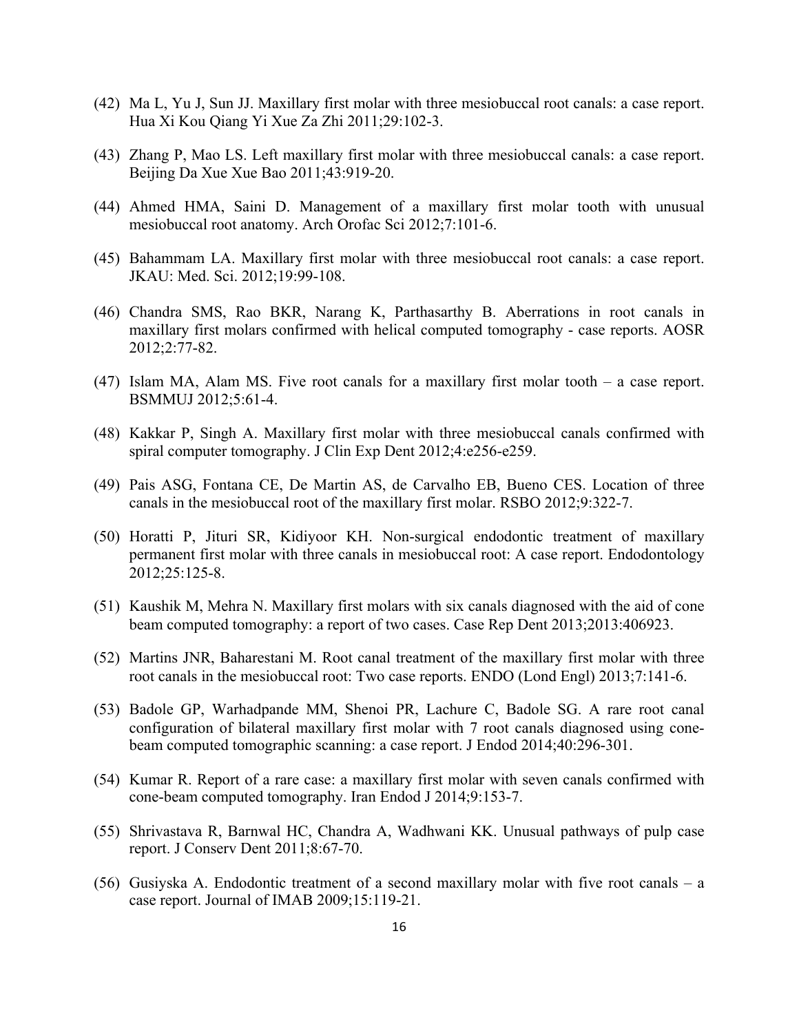- (42) Ma L, Yu J, Sun JJ. Maxillary first molar with three mesiobuccal root canals: a case report. Hua Xi Kou Qiang Yi Xue Za Zhi 2011;29:102-3.
- (43) Zhang P, Mao LS. Left maxillary first molar with three mesiobuccal canals: a case report. Beijing Da Xue Xue Bao 2011;43:919-20.
- (44) Ahmed HMA, Saini D. Management of a maxillary first molar tooth with unusual mesiobuccal root anatomy. Arch Orofac Sci 2012;7:101-6.
- (45) Bahammam LA. Maxillary first molar with three mesiobuccal root canals: a case report. JKAU: Med. Sci. 2012;19:99-108.
- (46) Chandra SMS, Rao BKR, Narang K, Parthasarthy B. Aberrations in root canals in maxillary first molars confirmed with helical computed tomography - case reports. AOSR 2012;2:77-82.
- (47) Islam MA, Alam MS. Five root canals for a maxillary first molar tooth a case report. BSMMUJ 2012;5:61-4.
- (48) Kakkar P, Singh A. Maxillary first molar with three mesiobuccal canals confirmed with spiral computer tomography. J Clin Exp Dent 2012;4:e256-e259.
- (49) Pais ASG, Fontana CE, De Martin AS, de Carvalho EB, Bueno CES. Location of three canals in the mesiobuccal root of the maxillary first molar. RSBO 2012;9:322-7.
- (50) Horatti P, Jituri SR, Kidiyoor KH. Non-surgical endodontic treatment of maxillary permanent first molar with three canals in mesiobuccal root: A case report. Endodontology 2012;25:125-8.
- (51) Kaushik M, Mehra N. Maxillary first molars with six canals diagnosed with the aid of cone beam computed tomography: a report of two cases. Case Rep Dent 2013;2013:406923.
- (52) Martins JNR, Baharestani M. Root canal treatment of the maxillary first molar with three root canals in the mesiobuccal root: Two case reports. ENDO (Lond Engl) 2013;7:141-6.
- (53) Badole GP, Warhadpande MM, Shenoi PR, Lachure C, Badole SG. A rare root canal configuration of bilateral maxillary first molar with 7 root canals diagnosed using conebeam computed tomographic scanning: a case report. J Endod 2014;40:296-301.
- (54) Kumar R. Report of a rare case: a maxillary first molar with seven canals confirmed with cone-beam computed tomography. Iran Endod J 2014;9:153-7.
- (55) Shrivastava R, Barnwal HC, Chandra A, Wadhwani KK. Unusual pathways of pulp case report. J Conserv Dent 2011;8:67-70.
- (56) Gusiyska A. Endodontic treatment of a second maxillary molar with five root canals a case report. Journal of IMAB 2009;15:119-21.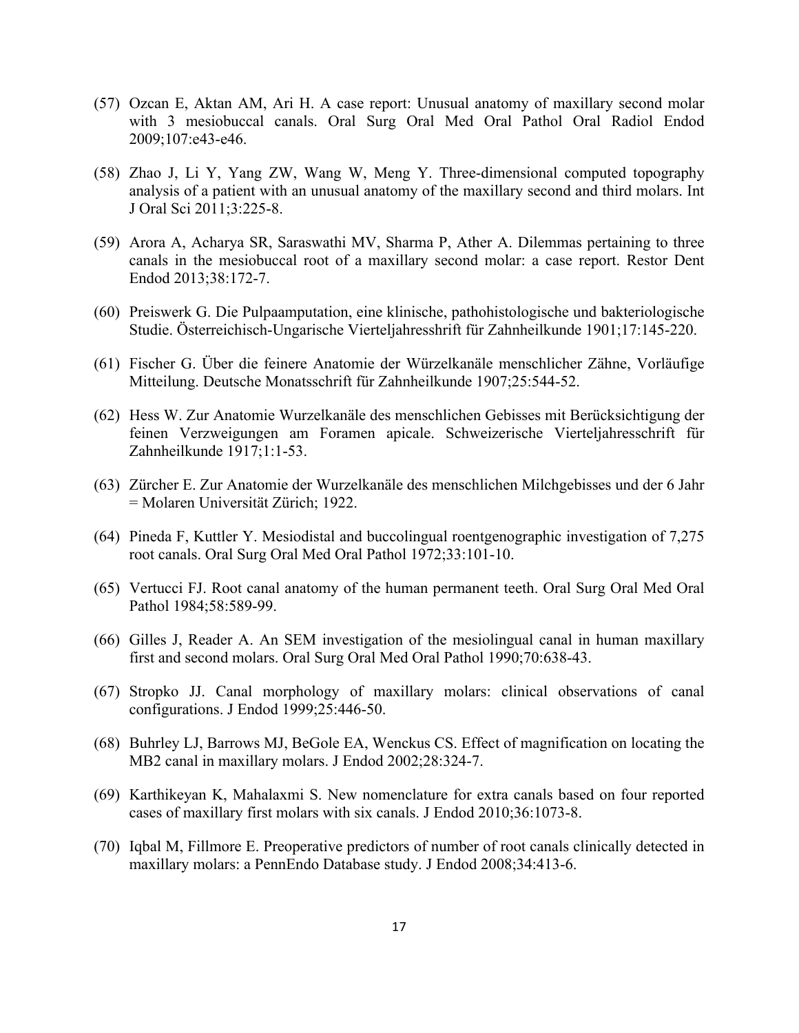- (57) Ozcan E, Aktan AM, Ari H. A case report: Unusual anatomy of maxillary second molar with 3 mesiobuccal canals. Oral Surg Oral Med Oral Pathol Oral Radiol Endod 2009;107:e43-e46.
- (58) Zhao J, Li Y, Yang ZW, Wang W, Meng Y. Three-dimensional computed topography analysis of a patient with an unusual anatomy of the maxillary second and third molars. Int J Oral Sci 2011;3:225-8.
- (59) Arora A, Acharya SR, Saraswathi MV, Sharma P, Ather A. Dilemmas pertaining to three canals in the mesiobuccal root of a maxillary second molar: a case report. Restor Dent Endod 2013;38:172-7.
- (60) Preiswerk G. Die Pulpaamputation, eine klinische, pathohistologische und bakteriologische Studie. Österreichisch-Ungarische Vierteljahresshrift für Zahnheilkunde 1901;17:145-220.
- (61) Fischer G. Über die feinere Anatomie der Würzelkanäle menschlicher Zähne, Vorläufige Mitteilung. Deutsche Monatsschrift für Zahnheilkunde 1907;25:544-52.
- (62) Hess W. Zur Anatomie Wurzelkanäle des menschlichen Gebisses mit Berücksichtigung der feinen Verzweigungen am Foramen apicale. Schweizerische Vierteljahresschrift für Zahnheilkunde 1917;1:1-53.
- (63) Zürcher E. Zur Anatomie der Wurzelkanäle des menschlichen Milchgebisses und der 6 Jahr = Molaren Universität Zürich; 1922.
- (64) Pineda F, Kuttler Y. Mesiodistal and buccolingual roentgenographic investigation of 7,275 root canals. Oral Surg Oral Med Oral Pathol 1972;33:101-10.
- (65) Vertucci FJ. Root canal anatomy of the human permanent teeth. Oral Surg Oral Med Oral Pathol 1984;58:589-99.
- (66) Gilles J, Reader A. An SEM investigation of the mesiolingual canal in human maxillary first and second molars. Oral Surg Oral Med Oral Pathol 1990;70:638-43.
- (67) Stropko JJ. Canal morphology of maxillary molars: clinical observations of canal configurations. J Endod 1999;25:446-50.
- (68) Buhrley LJ, Barrows MJ, BeGole EA, Wenckus CS. Effect of magnification on locating the MB2 canal in maxillary molars. J Endod 2002;28:324-7.
- (69) Karthikeyan K, Mahalaxmi S. New nomenclature for extra canals based on four reported cases of maxillary first molars with six canals. J Endod 2010;36:1073-8.
- (70) Iqbal M, Fillmore E. Preoperative predictors of number of root canals clinically detected in maxillary molars: a PennEndo Database study. J Endod 2008;34:413-6.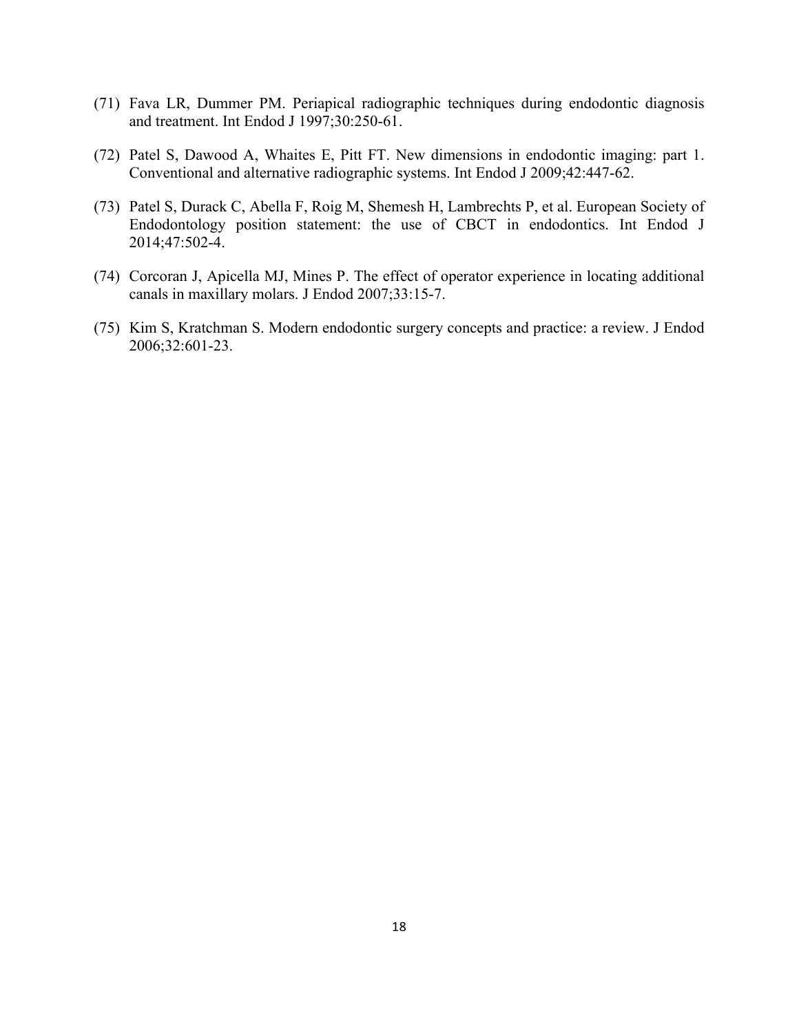- (71) Fava LR, Dummer PM. Periapical radiographic techniques during endodontic diagnosis and treatment. Int Endod J 1997;30:250-61.
- (72) Patel S, Dawood A, Whaites E, Pitt FT. New dimensions in endodontic imaging: part 1. Conventional and alternative radiographic systems. Int Endod J 2009;42:447-62.
- (73) Patel S, Durack C, Abella F, Roig M, Shemesh H, Lambrechts P, et al. European Society of Endodontology position statement: the use of CBCT in endodontics. Int Endod J 2014;47:502-4.
- (74) Corcoran J, Apicella MJ, Mines P. The effect of operator experience in locating additional canals in maxillary molars. J Endod 2007;33:15-7.
- (75) Kim S, Kratchman S. Modern endodontic surgery concepts and practice: a review. J Endod 2006;32:601-23.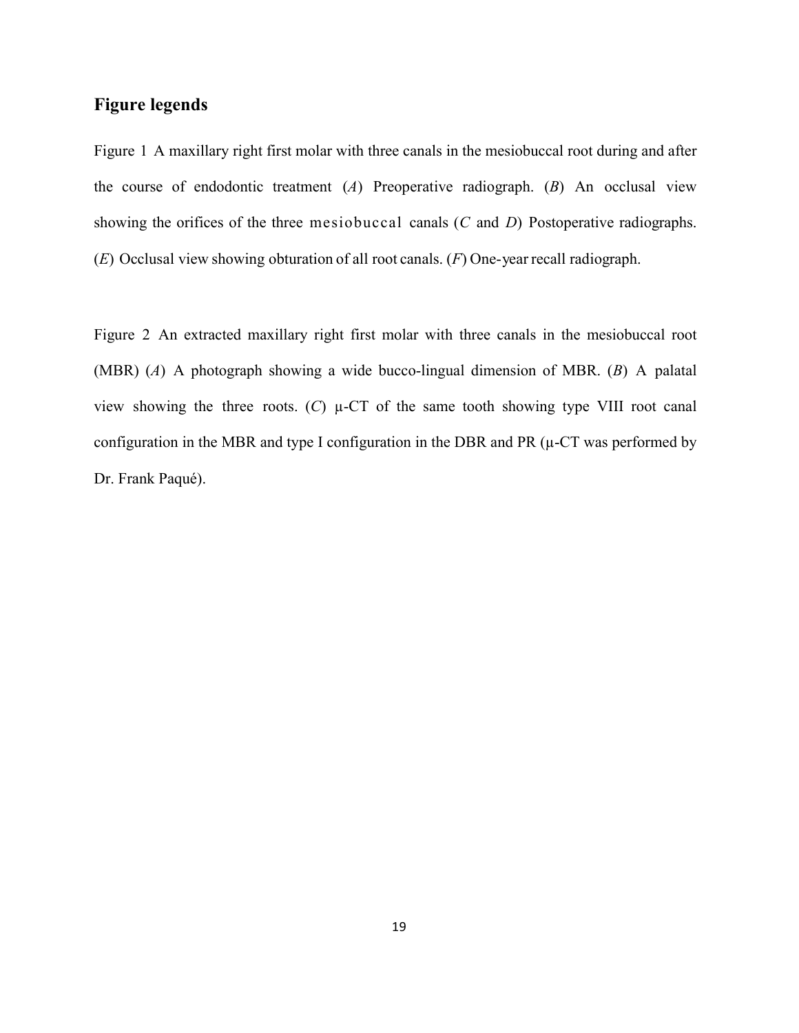## **Figure legends**

Figure 1 A maxillary right first molar with three canals in the mesiobuccal root during and after the course of endodontic treatment (*A*) Preoperative radiograph. (*B*) An occlusal view showing the orifices of the three mesiobuccal canals (*C* and *D*) Postoperative radiographs. (*E*) Occlusal view showing obturation of all root canals. (*F*) One-year recall radiograph.

Figure 2 An extracted maxillary right first molar with three canals in the mesiobuccal root (MBR) (*A*) A photograph showing a wide bucco-lingual dimension of MBR. (*B*) A palatal view showing the three roots.  $(C)$   $\mu$ -CT of the same tooth showing type VIII root canal configuration in the MBR and type I configuration in the DBR and PR  $(\mu$ -CT was performed by Dr. Frank Paqué).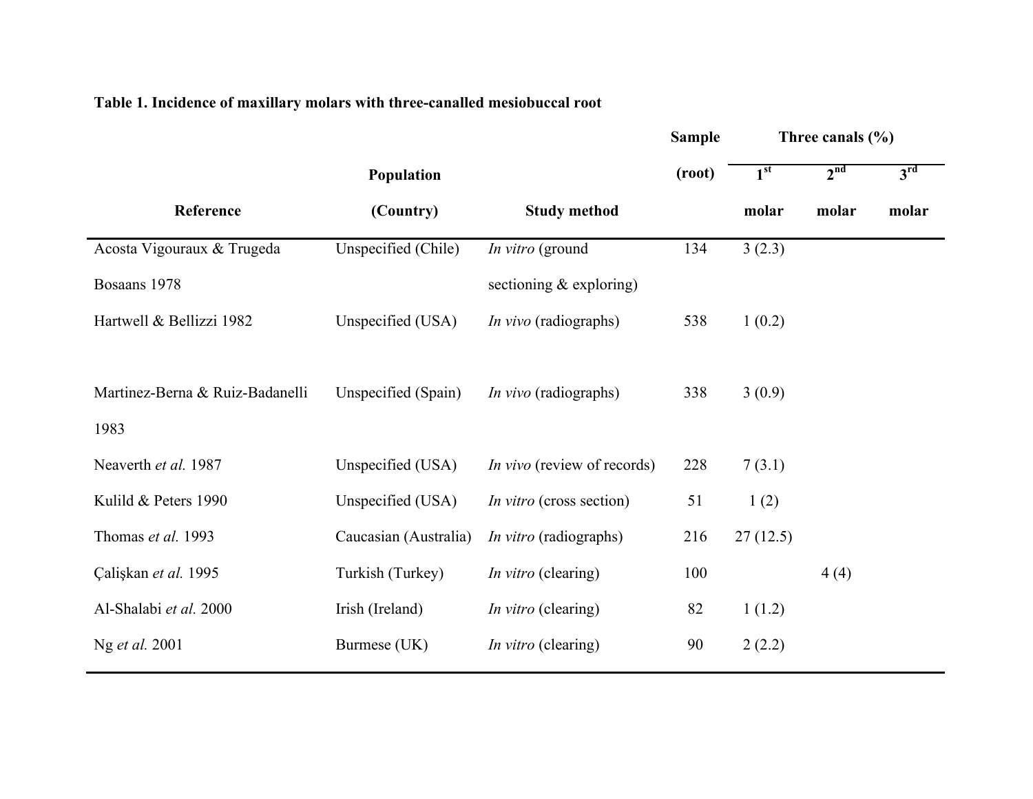# **Table 1. Incidence of maxillary molars with three-canalled mesiobuccal root**

|                                 |                       |                                    | <b>Sample</b> |                 | Three canals $(\% )$ |                 |
|---------------------------------|-----------------------|------------------------------------|---------------|-----------------|----------------------|-----------------|
|                                 | Population            |                                    | (root)        | 1 <sup>st</sup> | 2 <sup>nd</sup>      | 3 <sup>rd</sup> |
| Reference                       | (Country)             | <b>Study method</b>                |               | molar           | molar                | molar           |
| Acosta Vigouraux & Trugeda      | Unspecified (Chile)   | In vitro (ground                   | 134           | 3(2.3)          |                      |                 |
| Bosaans 1978                    |                       | sectioning $&$ exploring)          |               |                 |                      |                 |
| Hartwell & Bellizzi 1982        | Unspecified (USA)     | <i>In vivo</i> (radiographs)       | 538           | 1(0.2)          |                      |                 |
|                                 |                       |                                    |               |                 |                      |                 |
| Martinez-Berna & Ruiz-Badanelli | Unspecified (Spain)   | <i>In vivo</i> (radiographs)       | 338           | 3(0.9)          |                      |                 |
| 1983                            |                       |                                    |               |                 |                      |                 |
| Neaverth et al. 1987            | Unspecified (USA)     | <i>In vivo</i> (review of records) | 228           | 7(3.1)          |                      |                 |
| Kulild & Peters 1990            | Unspecified (USA)     | <i>In vitro</i> (cross section)    | 51            | 1(2)            |                      |                 |
| Thomas et al. 1993              | Caucasian (Australia) | In vitro (radiographs)             | 216           | 27(12.5)        |                      |                 |
| Çalişkan et al. 1995            | Turkish (Turkey)      | <i>In vitro</i> (clearing)         | 100           |                 | 4(4)                 |                 |
| Al-Shalabi et al. 2000          | Irish (Ireland)       | In vitro (clearing)                | 82            | 1(1.2)          |                      |                 |
| Ng <i>et al.</i> 2001           | Burmese (UK)          | In vitro (clearing)                | 90            | 2(2.2)          |                      |                 |
|                                 |                       |                                    |               |                 |                      |                 |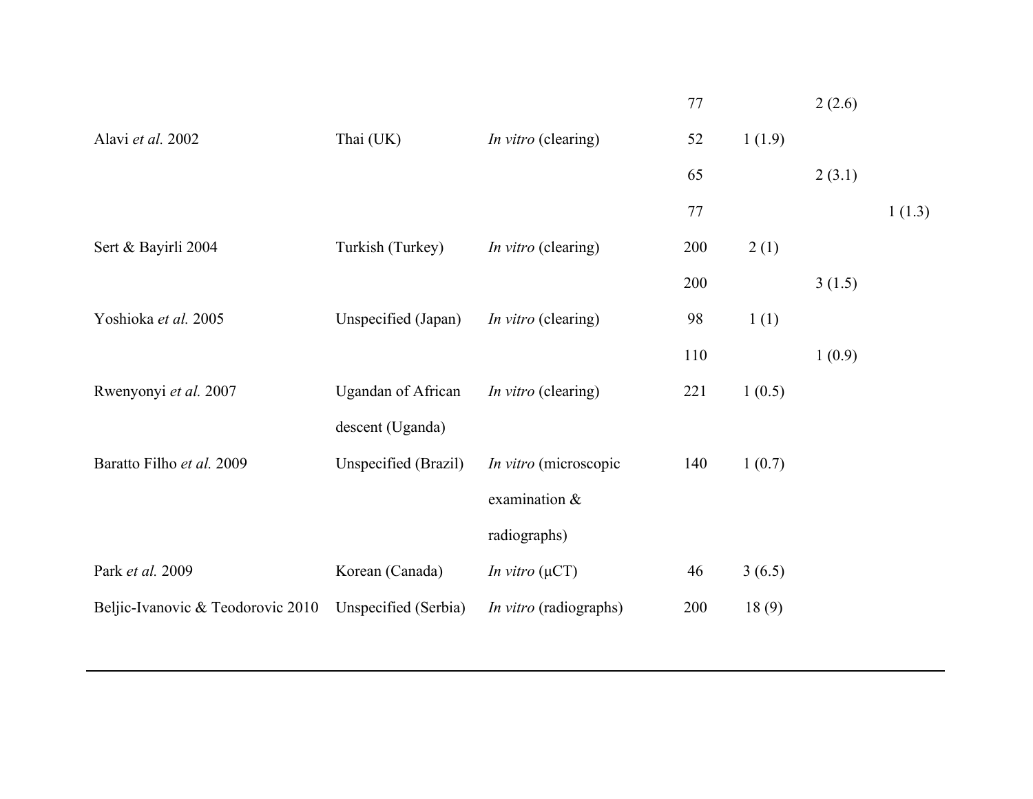|                                   |                           |                               | 77  |        | 2(2.6) |        |
|-----------------------------------|---------------------------|-------------------------------|-----|--------|--------|--------|
| Alavi et al. 2002                 | Thai (UK)                 | <i>In vitro</i> (clearing)    | 52  | 1(1.9) |        |        |
|                                   |                           |                               | 65  |        | 2(3.1) |        |
|                                   |                           |                               | 77  |        |        | 1(1.3) |
| Sert & Bayirli 2004               | Turkish (Turkey)          | <i>In vitro</i> (clearing)    | 200 | 2(1)   |        |        |
|                                   |                           |                               | 200 |        | 3(1.5) |        |
| Yoshioka et al. 2005              | Unspecified (Japan)       | In vitro (clearing)           | 98  | 1(1)   |        |        |
|                                   |                           |                               | 110 |        | 1(0.9) |        |
| Rwenyonyi et al. 2007             | <b>Ugandan of African</b> | <i>In vitro</i> (clearing)    | 221 | 1(0.5) |        |        |
|                                   | descent (Uganda)          |                               |     |        |        |        |
| Baratto Filho et al. 2009         | Unspecified (Brazil)      | In vitro (microscopic         | 140 | 1(0.7) |        |        |
|                                   |                           | examination &                 |     |        |        |        |
|                                   |                           | radiographs)                  |     |        |        |        |
| Park et al. 2009                  | Korean (Canada)           | <i>In vitro</i> $(\mu CT)$    | 46  | 3(6.5) |        |        |
| Beljic-Ivanovic & Teodorovic 2010 | Unspecified (Serbia)      | <i>In vitro</i> (radiographs) | 200 | 18(9)  |        |        |
|                                   |                           |                               |     |        |        |        |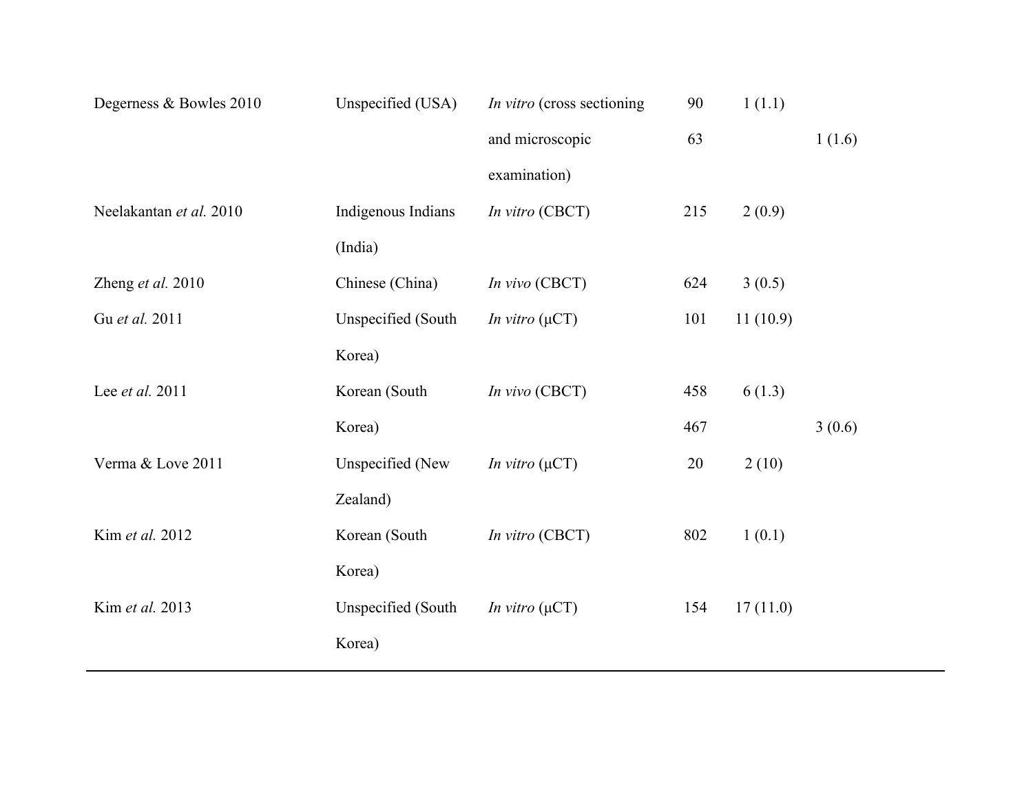| Degerness & Bowles 2010 | Unspecified (USA)         | In vitro (cross sectioning | 90  | 1(1.1)   |        |
|-------------------------|---------------------------|----------------------------|-----|----------|--------|
|                         |                           | and microscopic            | 63  |          | 1(1.6) |
|                         |                           | examination)               |     |          |        |
| Neelakantan et al. 2010 | Indigenous Indians        | In vitro (CBCT)            | 215 | 2(0.9)   |        |
|                         | (India)                   |                            |     |          |        |
| Zheng et al. 2010       | Chinese (China)           | In vivo (CBCT)             | 624 | 3(0.5)   |        |
| Gu et al. 2011          | Unspecified (South        | In vitro $(\mu CT)$        | 101 | 11(10.9) |        |
|                         | Korea)                    |                            |     |          |        |
| Lee et al. 2011         | Korean (South             | In vivo (CBCT)             | 458 | 6(1.3)   |        |
|                         | Korea)                    |                            | 467 |          | 3(0.6) |
| Verma & Love 2011       | Unspecified (New          | In vitro $(\mu CT)$        | 20  | 2(10)    |        |
|                         | Zealand)                  |                            |     |          |        |
| Kim et al. 2012         | Korean (South             | In vitro (CBCT)            | 802 | 1(0.1)   |        |
|                         | Korea)                    |                            |     |          |        |
| Kim et al. 2013         | <b>Unspecified</b> (South | In vitro $(\mu CT)$        | 154 | 17(11.0) |        |
|                         | Korea)                    |                            |     |          |        |
|                         |                           |                            |     |          |        |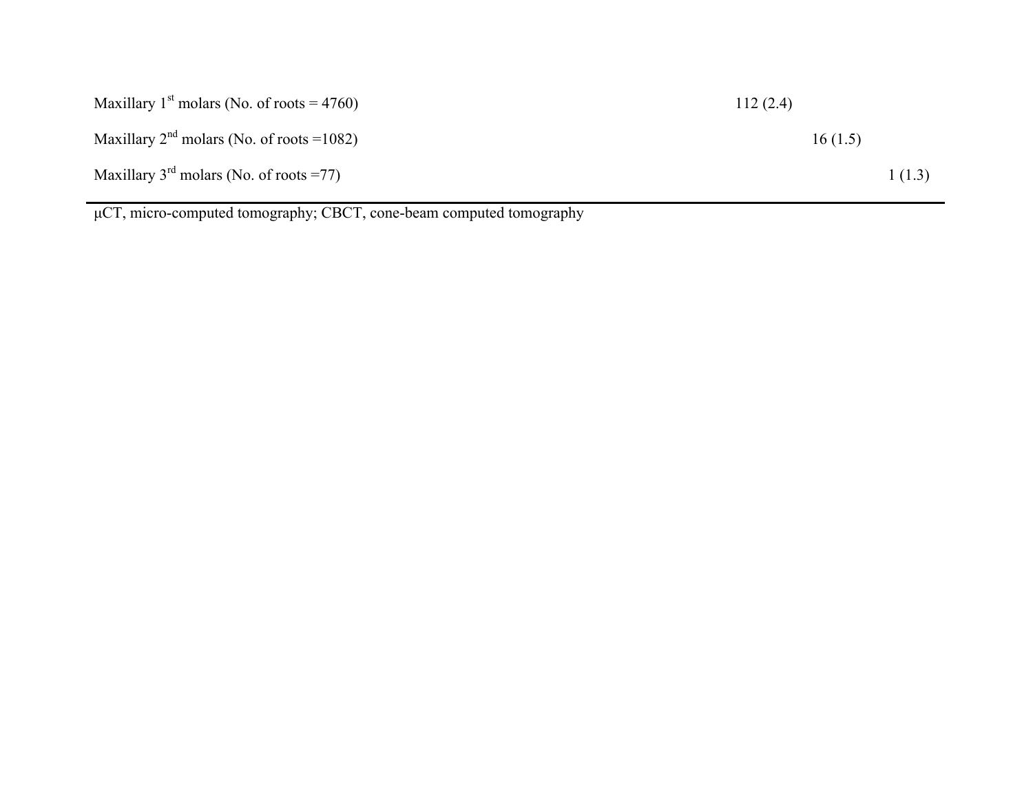| Maxillary 1 <sup>st</sup> molars (No. of roots = 4760) | 112(2.4) |  |
|--------------------------------------------------------|----------|--|
| Maxillary $2^{nd}$ molars (No. of roots =1082)         | 16(1.5)  |  |
| Maxillary $3^{rd}$ molars (No. of roots =77)           | 1(1.3)   |  |

µCT, micro-computed tomography; CBCT, cone-beam computed tomography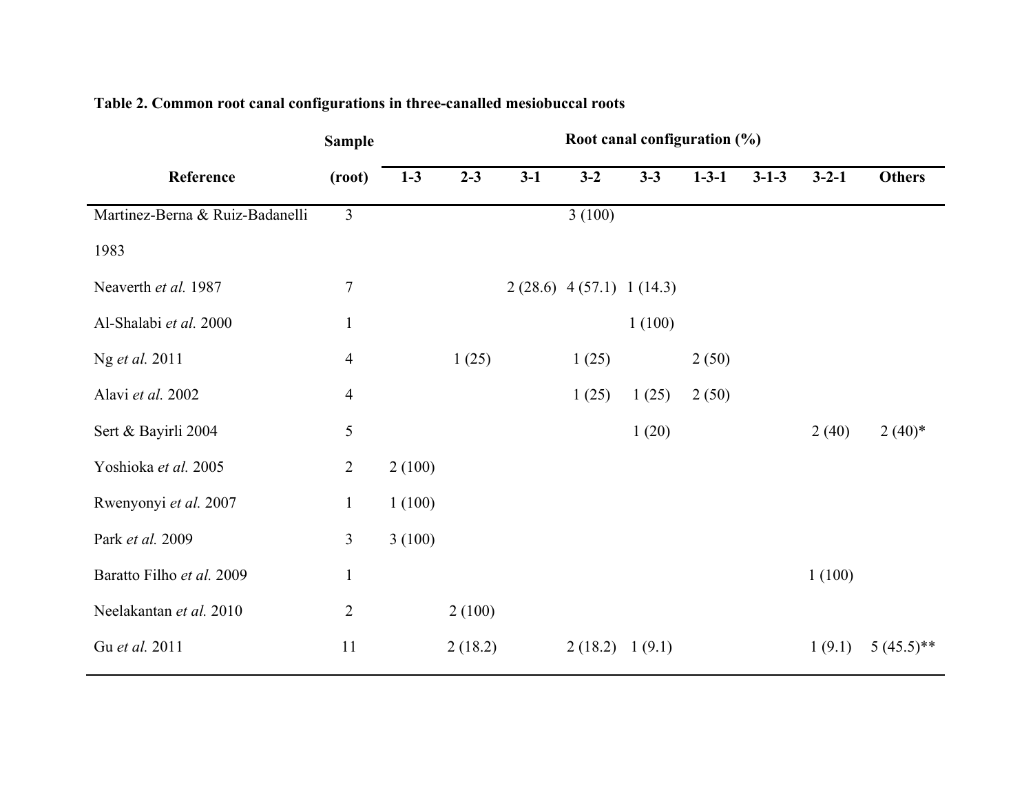|                                 | <b>Sample</b>  |        |         |       |                           | Root canal configuration (%) |             |             |             |               |
|---------------------------------|----------------|--------|---------|-------|---------------------------|------------------------------|-------------|-------------|-------------|---------------|
| Reference                       | (root)         | $1-3$  | $2 - 3$ | $3-1$ | $3-2$                     | $3 - 3$                      | $1 - 3 - 1$ | $3 - 1 - 3$ | $3 - 2 - 1$ | <b>Others</b> |
| Martinez-Berna & Ruiz-Badanelli | $\overline{3}$ |        |         |       | 3(100)                    |                              |             |             |             |               |
| 1983                            |                |        |         |       |                           |                              |             |             |             |               |
| Neaverth et al. 1987            | $\sqrt{ }$     |        |         |       | $2(28.6)$ 4(57.1) 1(14.3) |                              |             |             |             |               |
| Al-Shalabi et al. 2000          | $\mathbf{1}$   |        |         |       |                           | 1(100)                       |             |             |             |               |
| Ng et al. 2011                  | $\overline{4}$ |        | 1(25)   |       | 1(25)                     |                              | 2(50)       |             |             |               |
| Alavi et al. 2002               | $\overline{4}$ |        |         |       | 1(25)                     | 1(25)                        | 2(50)       |             |             |               |
| Sert & Bayirli 2004             | 5              |        |         |       |                           | 1(20)                        |             |             | 2(40)       | $2(40)*$      |
| Yoshioka et al. 2005            | $\overline{2}$ | 2(100) |         |       |                           |                              |             |             |             |               |
| Rwenyonyi et al. 2007           | $\mathbf{1}$   | 1(100) |         |       |                           |                              |             |             |             |               |
| Park et al. 2009                | 3              | 3(100) |         |       |                           |                              |             |             |             |               |
| Baratto Filho et al. 2009       | $\mathbf{1}$   |        |         |       |                           |                              |             |             | 1(100)      |               |
| Neelakantan et al. 2010         | $\overline{2}$ |        | 2(100)  |       |                           |                              |             |             |             |               |
| Gu et al. 2011                  | 11             |        | 2(18.2) |       | 2(18.2) 1(9.1)            |                              |             |             | 1(9.1)      | $5(45.5)$ **  |

# **Table 2. Common root canal configurations in three-canalled mesiobuccal roots**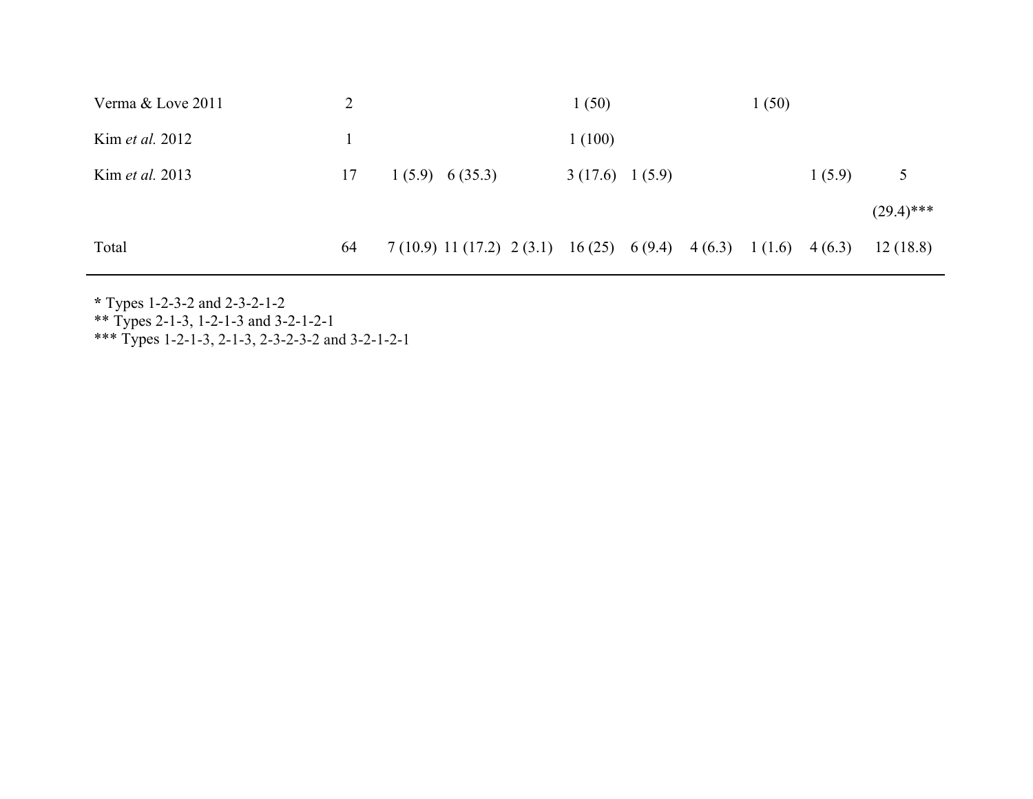| Verma & Love 2011      | 2  |                                                                    | 1(50)          |  | 1(50) |        |              |
|------------------------|----|--------------------------------------------------------------------|----------------|--|-------|--------|--------------|
| Kim <i>et al.</i> 2012 |    |                                                                    | 1(100)         |  |       |        |              |
| Kim <i>et al.</i> 2013 | 17 | 1(5.9) 6(35.3)                                                     | 3(17.6) 1(5.9) |  |       | 1(5.9) | 5            |
|                        |    |                                                                    |                |  |       |        | $(29.4)$ *** |
| Total                  | 64 | 7 (10.9) 11 (17.2) 2 (3.1) 16 (25) 6 (9.4) 4 (6.3) 1 (1.6) 4 (6.3) |                |  |       |        | 12(18.8)     |

**\*** Types 1-2-3-2 and 2-3-2-1-2

\*\* Types 2-1-3, 1-2-1-3 and 3-2-1-2-1

\*\*\* Types 1-2-1-3, 2-1-3, 2-3-2-3-2 and 3-2-1-2-1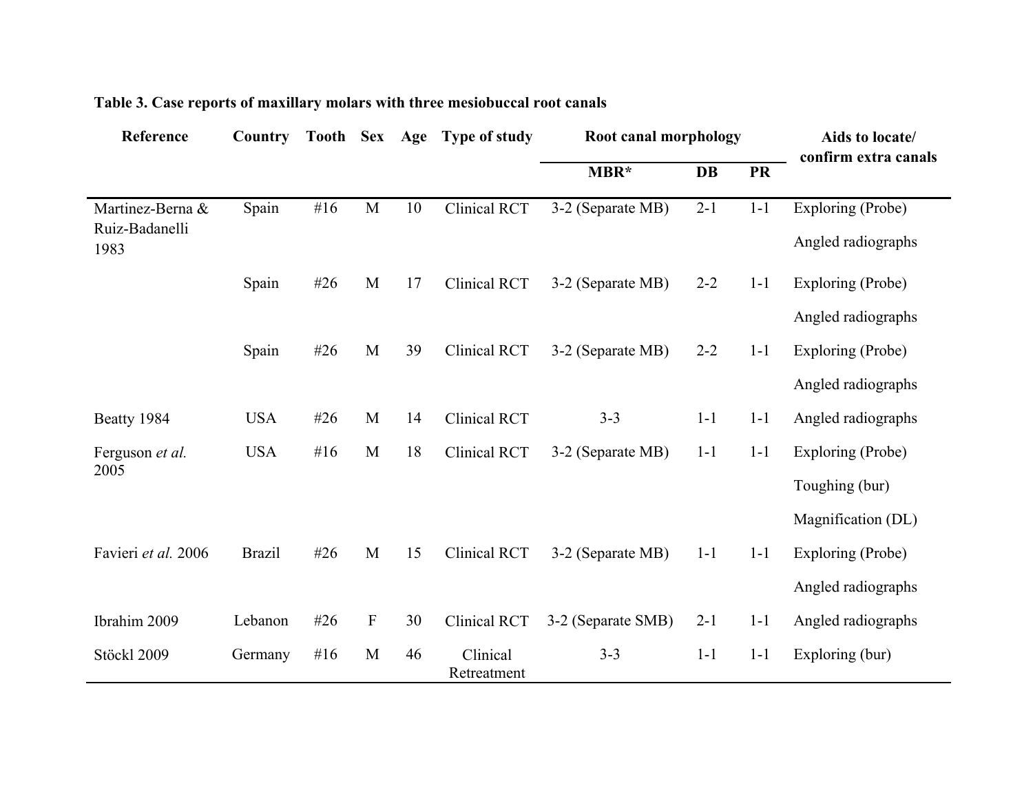| Reference              | Country       | Tooth Sex Age |             |    | <b>Type of study</b>    | Root canal morphology |           |           | Aids to locate/<br>confirm extra canals |
|------------------------|---------------|---------------|-------------|----|-------------------------|-----------------------|-----------|-----------|-----------------------------------------|
|                        |               |               |             |    |                         | MBR*                  | <b>DB</b> | <b>PR</b> |                                         |
| Martinez-Berna &       | Spain         | #16           | M           | 10 | Clinical RCT            | 3-2 (Separate MB)     | $2 - 1$   | $1-1$     | Exploring (Probe)                       |
| Ruiz-Badanelli<br>1983 |               |               |             |    |                         |                       |           |           | Angled radiographs                      |
|                        | Spain         | #26           | M           | 17 | Clinical RCT            | 3-2 (Separate MB)     | $2 - 2$   | $1 - 1$   | Exploring (Probe)                       |
|                        |               |               |             |    |                         |                       |           |           | Angled radiographs                      |
|                        | Spain         | #26           | M           | 39 | <b>Clinical RCT</b>     | 3-2 (Separate MB)     | $2 - 2$   | $1 - 1$   | Exploring (Probe)                       |
|                        |               |               |             |    |                         |                       |           |           | Angled radiographs                      |
| Beatty 1984            | <b>USA</b>    | #26           | M           | 14 | <b>Clinical RCT</b>     | $3 - 3$               | $1 - 1$   | $1-1$     | Angled radiographs                      |
| Ferguson et al.        | <b>USA</b>    | # $16$        | M           | 18 | <b>Clinical RCT</b>     | 3-2 (Separate MB)     | $1-1$     | $1-1$     | Exploring (Probe)                       |
| 2005                   |               |               |             |    |                         |                       |           |           | Toughing (bur)                          |
|                        |               |               |             |    |                         |                       |           |           | Magnification (DL)                      |
| Favieri et al. 2006    | <b>Brazil</b> | #26           | M           | 15 | Clinical RCT            | 3-2 (Separate MB)     | $1 - 1$   | $1 - 1$   | Exploring (Probe)                       |
|                        |               |               |             |    |                         |                       |           |           | Angled radiographs                      |
| Ibrahim 2009           | Lebanon       | #26           | $\mathbf F$ | 30 | <b>Clinical RCT</b>     | 3-2 (Separate SMB)    | $2 - 1$   | $1-1$     | Angled radiographs                      |
| Stöckl 2009            | Germany       | # $16$        | M           | 46 | Clinical<br>Retreatment | $3 - 3$               | $1-1$     | $1-1$     | Exploring (bur)                         |

# **Table 3. Case reports of maxillary molars with three mesiobuccal root canals**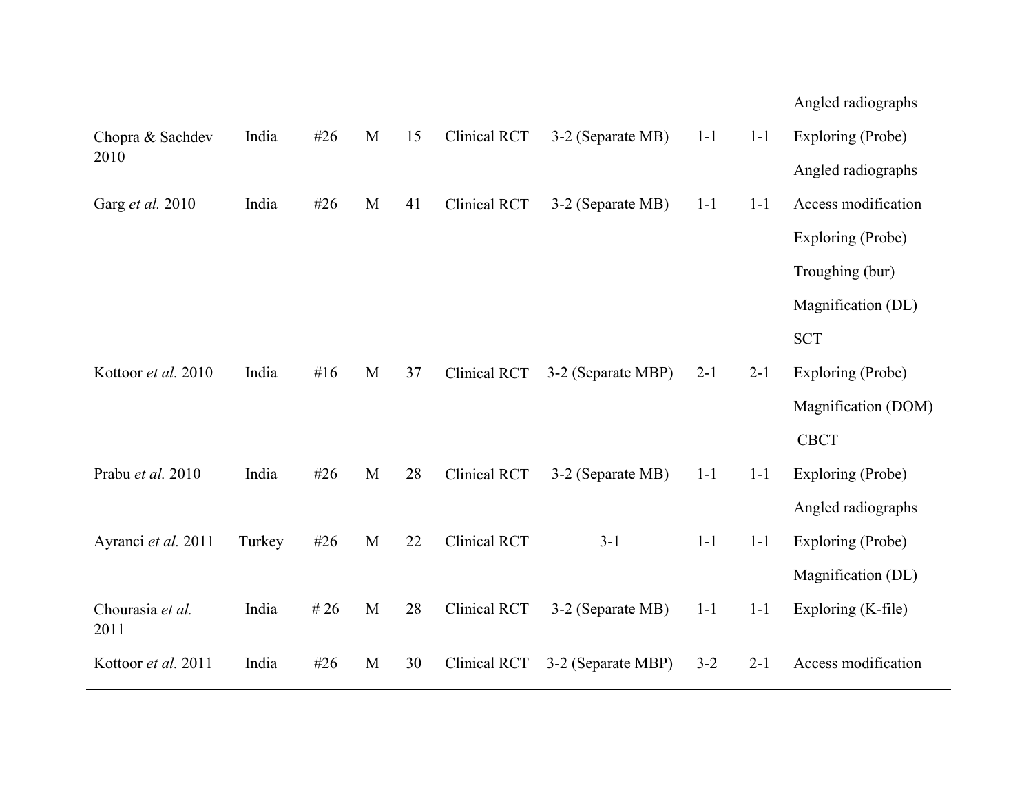|                          |        |        |   |    |                     |                    |         |         | Angled radiographs  |
|--------------------------|--------|--------|---|----|---------------------|--------------------|---------|---------|---------------------|
| Chopra & Sachdev         | India  | #26    | M | 15 | Clinical RCT        | 3-2 (Separate MB)  | $1 - 1$ | $1 - 1$ | Exploring (Probe)   |
| 2010                     |        |        |   |    |                     |                    |         |         | Angled radiographs  |
| Garg et al. 2010         | India  | #26    | M | 41 | Clinical RCT        | 3-2 (Separate MB)  | $1 - 1$ | $1 - 1$ | Access modification |
|                          |        |        |   |    |                     |                    |         |         | Exploring (Probe)   |
|                          |        |        |   |    |                     |                    |         |         | Troughing (bur)     |
|                          |        |        |   |    |                     |                    |         |         | Magnification (DL)  |
|                          |        |        |   |    |                     |                    |         |         | <b>SCT</b>          |
| Kottoor et al. 2010      | India  | #16    | M | 37 | Clinical RCT        | 3-2 (Separate MBP) | $2 - 1$ | $2 - 1$ | Exploring (Probe)   |
|                          |        |        |   |    |                     |                    |         |         | Magnification (DOM) |
|                          |        |        |   |    |                     |                    |         |         | <b>CBCT</b>         |
| Prabu et al. 2010        | India  | #26    | M | 28 | Clinical RCT        | 3-2 (Separate MB)  | $1 - 1$ | $1 - 1$ | Exploring (Probe)   |
|                          |        |        |   |    |                     |                    |         |         | Angled radiographs  |
| Ayranci et al. 2011      | Turkey | #26    | M | 22 | <b>Clinical RCT</b> | $3 - 1$            | $1 - 1$ | $1 - 1$ | Exploring (Probe)   |
|                          |        |        |   |    |                     |                    |         |         | Magnification (DL)  |
| Chourasia et al.<br>2011 | India  | # $26$ | M | 28 | Clinical RCT        | 3-2 (Separate MB)  | $1 - 1$ | $1 - 1$ | Exploring (K-file)  |
| Kottoor et al. 2011      | India  | #26    | M | 30 | Clinical RCT        | 3-2 (Separate MBP) | $3 - 2$ | $2 - 1$ | Access modification |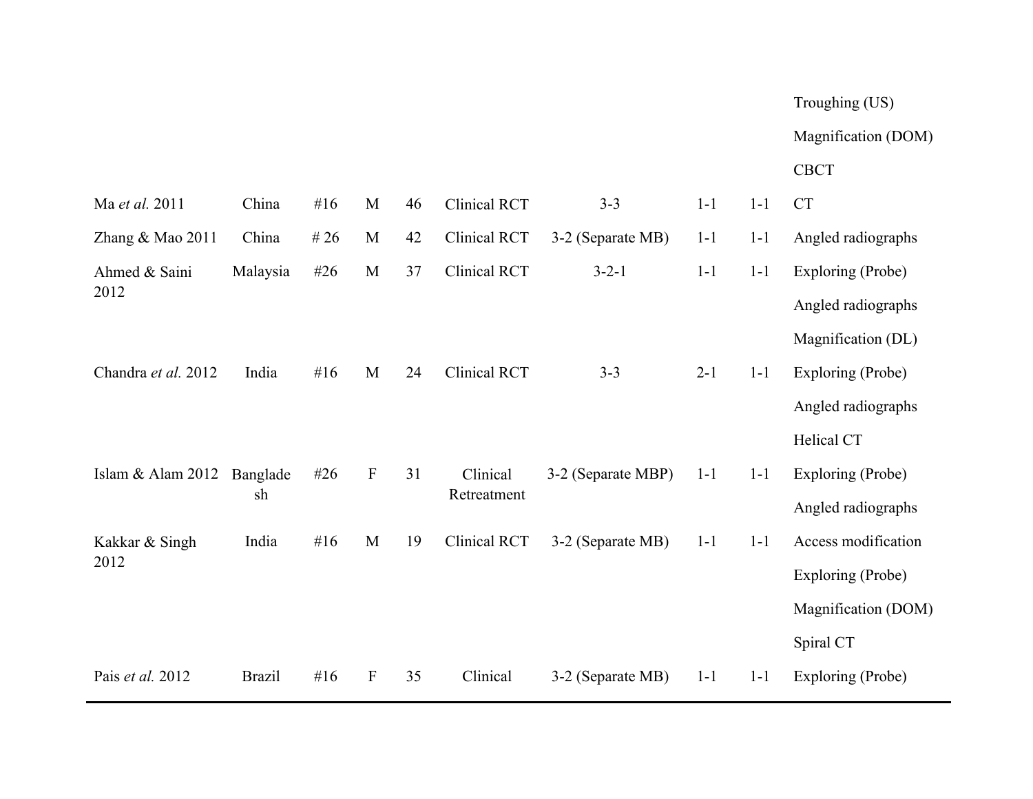# Troughing (US)

# Magnification (DOM)

# CBCT

| Ma et al. 2011      | China         | #16    | M                         | 46 | Clinical RCT        | $3 - 3$            | $1-1$   | $1 - 1$ | <b>CT</b>           |
|---------------------|---------------|--------|---------------------------|----|---------------------|--------------------|---------|---------|---------------------|
| Zhang & Mao 2011    | China         | # $26$ | M                         | 42 | Clinical RCT        | 3-2 (Separate MB)  | $1 - 1$ | $1 - 1$ | Angled radiographs  |
| Ahmed & Saini       | Malaysia      | #26    | M                         | 37 | Clinical RCT        | $3 - 2 - 1$        | $1 - 1$ | $1 - 1$ | Exploring (Probe)   |
| 2012                |               |        |                           |    |                     |                    |         |         | Angled radiographs  |
|                     |               |        |                           |    |                     |                    |         |         | Magnification (DL)  |
| Chandra et al. 2012 | India         | # $16$ | M                         | 24 | <b>Clinical RCT</b> | $3 - 3$            | $2 - 1$ | $1 - 1$ | Exploring (Probe)   |
|                     |               |        |                           |    |                     |                    |         |         | Angled radiographs  |
|                     |               |        |                           |    |                     |                    |         |         | Helical CT          |
| Islam & Alam 2012   | Banglade      | #26    | $\mathbf{F}$              | 31 | Clinical            | 3-2 (Separate MBP) | $1 - 1$ | $1 - 1$ | Exploring (Probe)   |
|                     | sh            |        |                           |    | Retreatment         |                    |         |         | Angled radiographs  |
| Kakkar & Singh      | India         | #16    | M                         | 19 | Clinical RCT        | 3-2 (Separate MB)  | $1 - 1$ | $1 - 1$ | Access modification |
| 2012                |               |        |                           |    |                     |                    |         |         | Exploring (Probe)   |
|                     |               |        |                           |    |                     |                    |         |         | Magnification (DOM) |
|                     |               |        |                           |    |                     |                    |         |         | Spiral CT           |
| Pais et al. 2012    | <b>Brazil</b> | # $16$ | $\boldsymbol{\mathrm{F}}$ | 35 | Clinical            | 3-2 (Separate MB)  | $1 - 1$ | $1 - 1$ | Exploring (Probe)   |
|                     |               |        |                           |    |                     |                    |         |         |                     |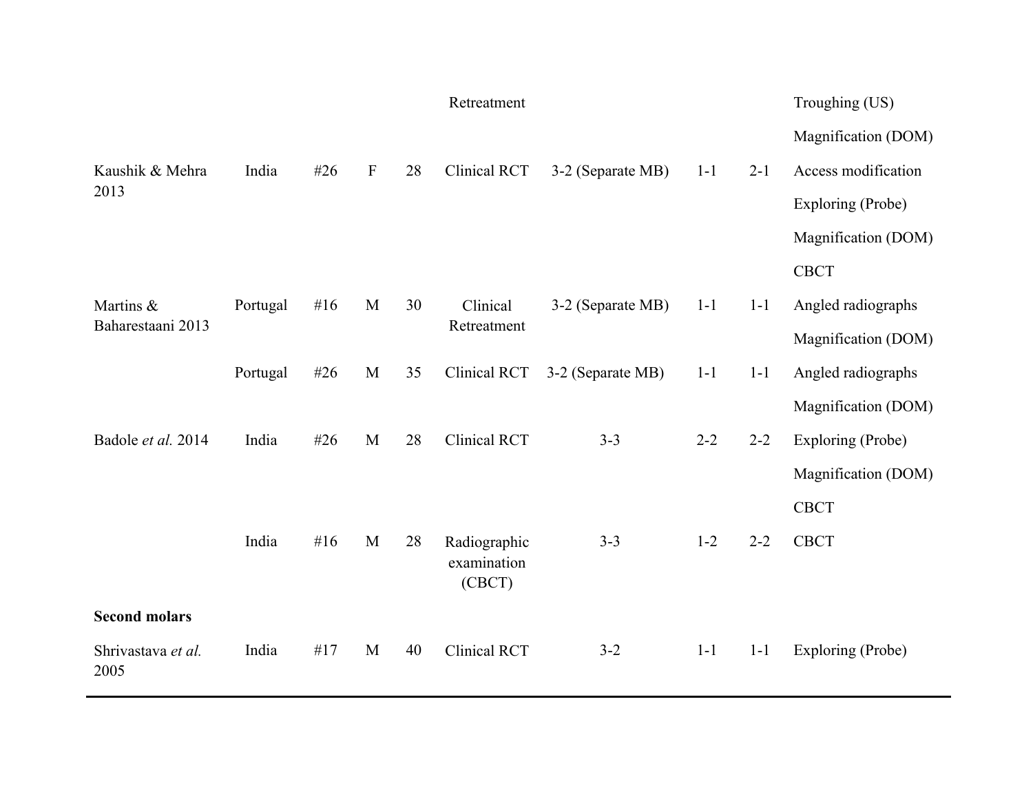|                            |          |        |                           |    | Retreatment                           |                   |         |         | Troughing (US)      |
|----------------------------|----------|--------|---------------------------|----|---------------------------------------|-------------------|---------|---------|---------------------|
|                            |          |        |                           |    |                                       |                   |         |         | Magnification (DOM) |
| Kaushik & Mehra            | India    | #26    | $\boldsymbol{\mathrm{F}}$ | 28 | Clinical RCT                          | 3-2 (Separate MB) | $1 - 1$ | $2 - 1$ | Access modification |
| 2013                       |          |        |                           |    |                                       |                   |         |         | Exploring (Probe)   |
|                            |          |        |                           |    |                                       |                   |         |         | Magnification (DOM) |
|                            |          |        |                           |    |                                       |                   |         |         | <b>CBCT</b>         |
| Martins &                  | Portugal | #16    | M                         | 30 | Clinical                              | 3-2 (Separate MB) | $1-1$   | $1 - 1$ | Angled radiographs  |
| Baharestaani 2013          |          |        |                           |    | Retreatment                           |                   |         |         | Magnification (DOM) |
|                            | Portugal | #26    | M                         | 35 | Clinical RCT                          | 3-2 (Separate MB) | $1 - 1$ | $1 - 1$ | Angled radiographs  |
|                            |          |        |                           |    |                                       |                   |         |         | Magnification (DOM) |
| Badole et al. 2014         | India    | #26    | M                         | 28 | <b>Clinical RCT</b>                   | $3 - 3$           | $2 - 2$ | $2 - 2$ | Exploring (Probe)   |
|                            |          |        |                           |    |                                       |                   |         |         | Magnification (DOM) |
|                            |          |        |                           |    |                                       |                   |         |         | <b>CBCT</b>         |
|                            | India    | # $16$ | M                         | 28 | Radiographic<br>examination<br>(CBCT) | $3 - 3$           | $1 - 2$ | $2 - 2$ | <b>CBCT</b>         |
| <b>Second molars</b>       |          |        |                           |    |                                       |                   |         |         |                     |
| Shrivastava et al.<br>2005 | India    | #17    | M                         | 40 | <b>Clinical RCT</b>                   | $3 - 2$           | $1 - 1$ | $1 - 1$ | Exploring (Probe)   |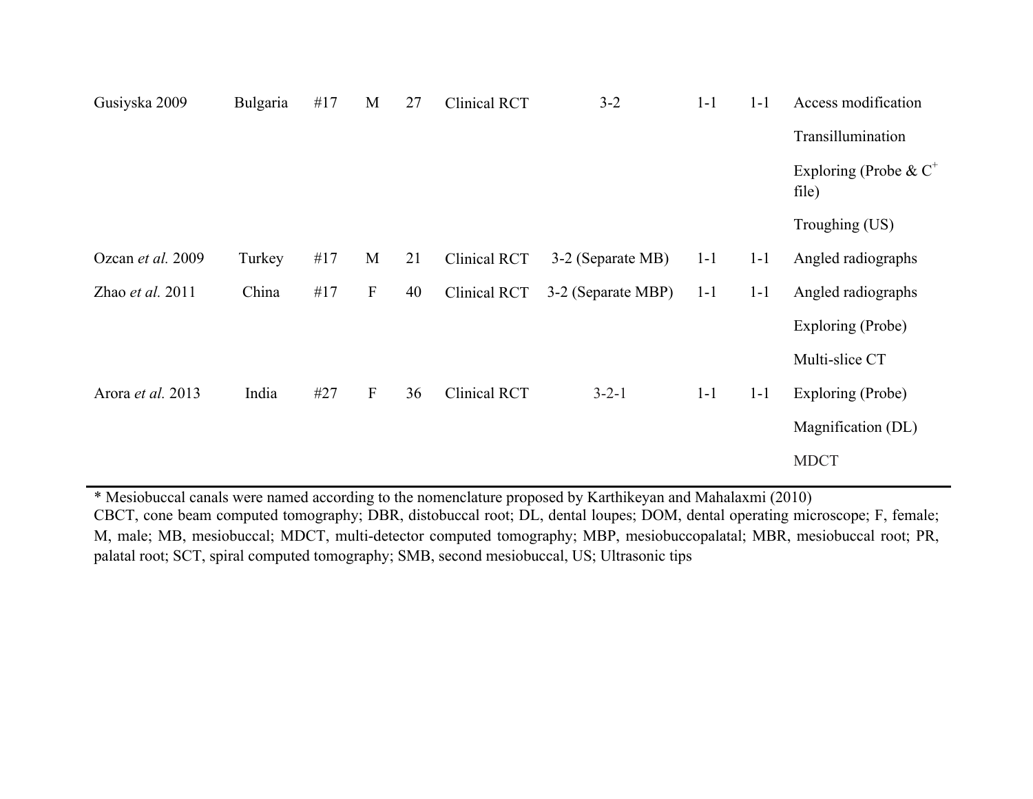| Gusiyska 2009      | Bulgaria | #17 | M            | 27 | Clinical RCT | $3 - 2$            | $1 - 1$ | $1 - 1$ | Access modification               |
|--------------------|----------|-----|--------------|----|--------------|--------------------|---------|---------|-----------------------------------|
|                    |          |     |              |    |              |                    |         |         | Transillumination                 |
|                    |          |     |              |    |              |                    |         |         | Exploring (Probe & $C^+$<br>file) |
|                    |          |     |              |    |              |                    |         |         | Troughing (US)                    |
| Ozcan et al. 2009  | Turkey   | #17 | M            | 21 | Clinical RCT | 3-2 (Separate MB)  | $1 - 1$ | $1 - 1$ | Angled radiographs                |
| Zhao et al. $2011$ | China    | #17 | $\mathbf{F}$ | 40 | Clinical RCT | 3-2 (Separate MBP) | $1 - 1$ | $1 - 1$ | Angled radiographs                |
|                    |          |     |              |    |              |                    |         |         | Exploring (Probe)                 |
|                    |          |     |              |    |              |                    |         |         | Multi-slice CT                    |
| Arora et al. 2013  | India    | #27 | $\mathbf{F}$ | 36 | Clinical RCT | $3 - 2 - 1$        | $1 - 1$ | $1 - 1$ | Exploring (Probe)                 |
|                    |          |     |              |    |              |                    |         |         | Magnification (DL)                |
|                    |          |     |              |    |              |                    |         |         | <b>MDCT</b>                       |
|                    |          |     |              |    |              |                    |         |         |                                   |

\* Mesiobuccal canals were named according to the nomenclature proposed by Karthikeyan and Mahalaxmi (2010) CBCT, cone beam computed tomography; DBR, distobuccal root; DL, dental loupes; DOM, dental operating microscope; F, female; M, male; MB, mesiobuccal; MDCT, multi-detector computed tomography; MBP, mesiobuccopalatal; MBR, mesiobuccal root; PR, palatal root; SCT, spiral computed tomography; SMB, second mesiobuccal, US; Ultrasonic tips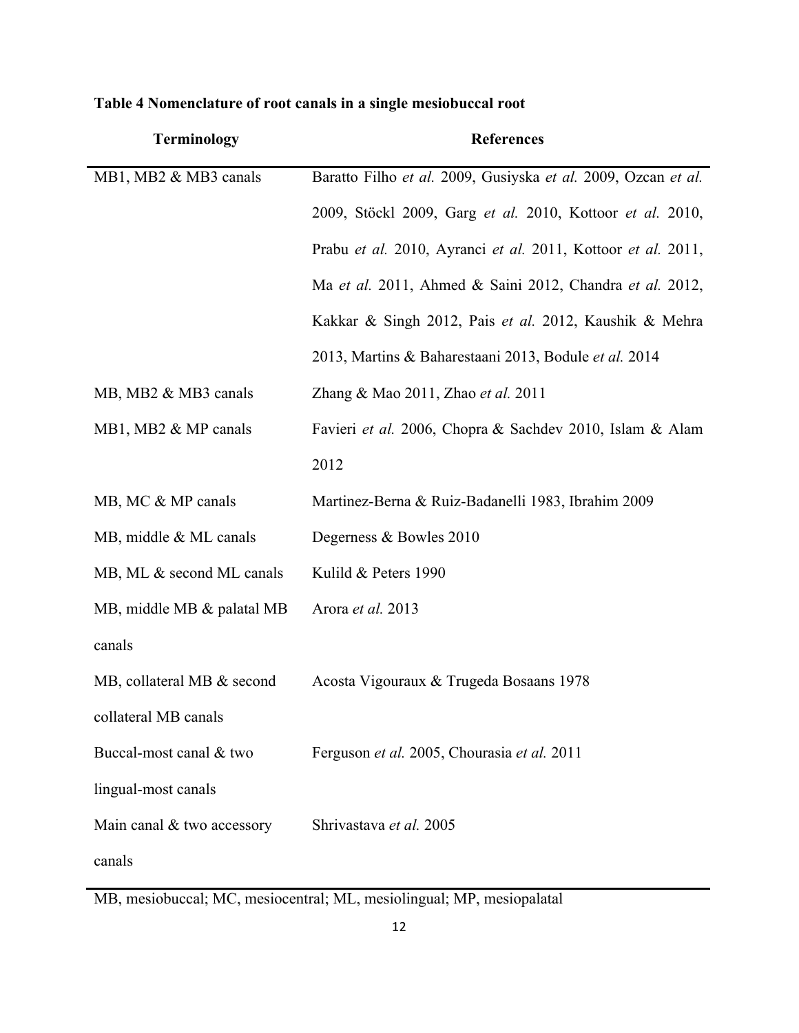| <b>Terminology</b>         | <b>References</b>                                             |
|----------------------------|---------------------------------------------------------------|
| MB1, MB2 & MB3 canals      | Baratto Filho et al. 2009, Gusiyska et al. 2009, Ozcan et al. |
|                            | 2009, Stöckl 2009, Garg et al. 2010, Kottoor et al. 2010,     |
|                            | Prabu et al. 2010, Ayranci et al. 2011, Kottoor et al. 2011,  |
|                            | Ma et al. 2011, Ahmed & Saini 2012, Chandra et al. 2012,      |
|                            | Kakkar & Singh 2012, Pais et al. 2012, Kaushik & Mehra        |
|                            | 2013, Martins & Baharestaani 2013, Bodule et al. 2014         |
| MB, MB2 & MB3 canals       | Zhang & Mao 2011, Zhao et al. 2011                            |
| MB1, MB2 & MP canals       | Favieri et al. 2006, Chopra & Sachdev 2010, Islam & Alam      |
|                            | 2012                                                          |
| MB, MC & MP canals         | Martinez-Berna & Ruiz-Badanelli 1983, Ibrahim 2009            |
| MB, middle & ML canals     | Degerness & Bowles 2010                                       |
| MB, ML & second ML canals  | Kulild & Peters 1990                                          |
| MB, middle MB & palatal MB | Arora et al. 2013                                             |
| canals                     |                                                               |
| MB, collateral MB & second | Acosta Vigouraux & Trugeda Bosaans 1978                       |
| collateral MB canals       |                                                               |
| Buccal-most canal & two    | Ferguson et al. 2005, Chourasia et al. 2011                   |
| lingual-most canals        |                                                               |
| Main canal & two accessory | Shrivastava et al. 2005                                       |
| canals                     |                                                               |

# **Table 4 Nomenclature of root canals in a single mesiobuccal root**

MB, mesiobuccal; MC, mesiocentral; ML, mesiolingual; MP, mesiopalatal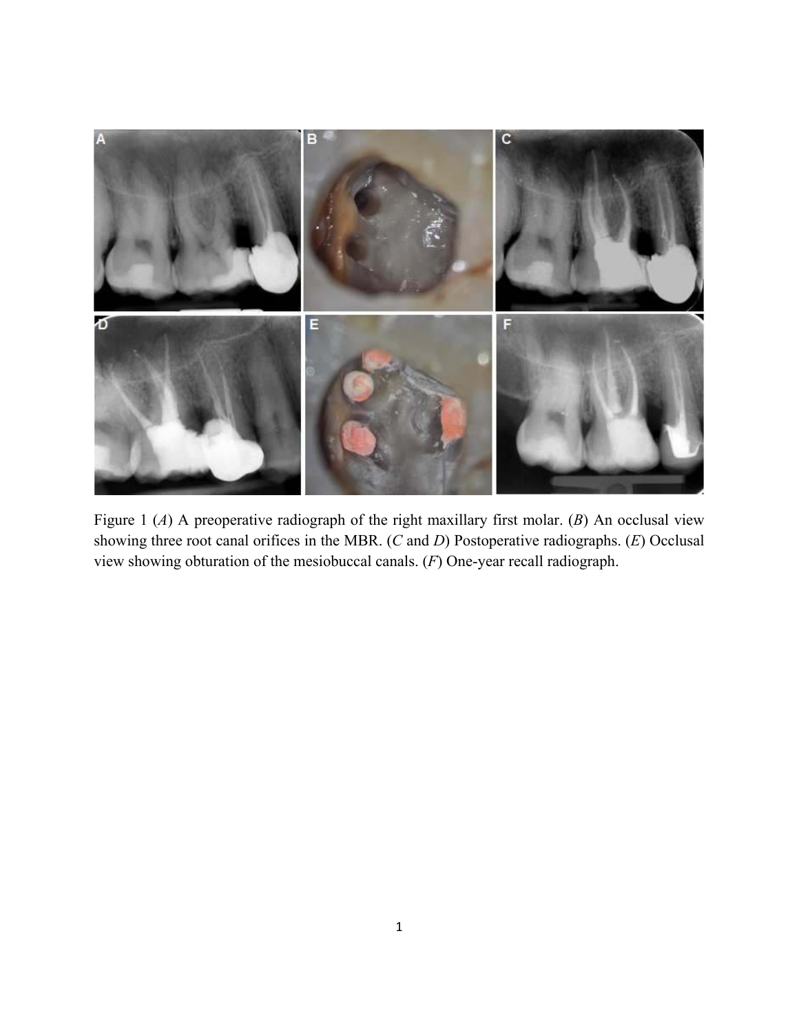

Figure 1 (*A*) A preoperative radiograph of the right maxillary first molar. (*B*) An occlusal view showing three root canal orifices in the MBR. (*C* and *D*) Postoperative radiographs. (*E*) Occlusal view showing obturation of the mesiobuccal canals. (*F*) One-year recall radiograph.